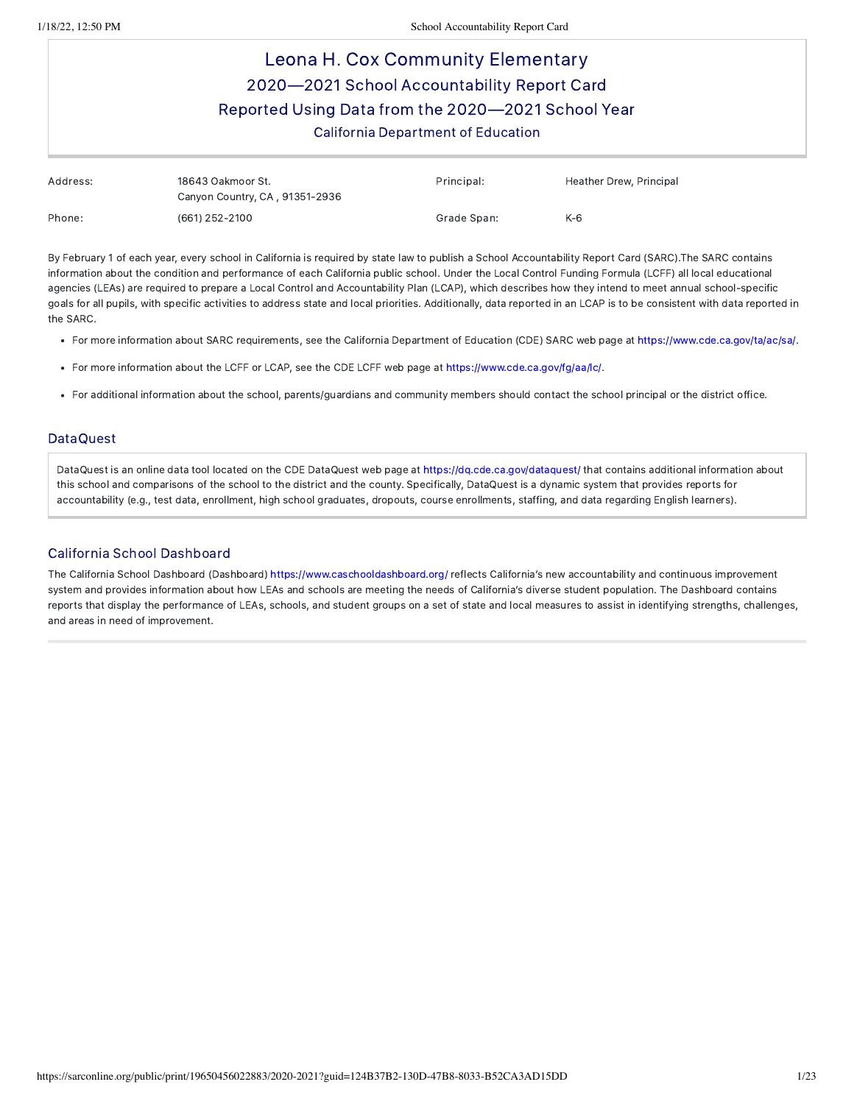# Leona H. Cox Community Elementary 2020—2021 School Accountability Report Card Reported Using Data from the 2020—2021 School Year California Department of Education

| Address: | 18643 Oakmoor St.<br>Canyon Country, CA, 91351-2936 | Principal:  | Heather Drew, Principal |
|----------|-----------------------------------------------------|-------------|-------------------------|
| Phone:   | (661) 252-2100                                      | Grade Span: | $K-6$                   |

By February 1 of each year, every school in California is required by state law to publish a School Accountability Report Card (SARC).The SARC contains information about the condition and performance of each California public school. Under the Local Control Funding Formula (LCFF) all local educational agencies (LEAs) are required to prepare a Local Control and Accountability Plan (LCAP), which describes how they intend to meet annual school-specific goals for all pupils, with specific activities to address state and local priorities. Additionally, data reported in an LCAP is to be consistent with data reported in the SARC.

- For more information about SARC requirements, see the California Department of Education (CDE) SARC web page at <https://www.cde.ca.gov/ta/ac/sa/>.
- For more information about the LCFF or LCAP, see the CDE LCFF web page at [https://www.cde.ca.gov/fg/aa/lc/.](https://www.cde.ca.gov/fg/aa/lc/)
- For additional information about the school, parents/guardians and community members should contact the school principal or the district office.

#### DataQuest

DataQuest is an online data tool located on the CDE DataQuest web page at <https://dq.cde.ca.gov/dataquest/> that contains additional information about this school and comparisons of the school to the district and the county. Specifically, DataQuest is a dynamic system that provides reports for accountability (e.g., test data, enrollment, high school graduates, dropouts, course enrollments, staffing, and data regarding English learners).

#### California School Dashboard

The California School Dashboard (Dashboard) <https://www.caschooldashboard.org/> reflects California's new accountability and continuous improvement system and provides information about how LEAs and schools are meeting the needs of California's diverse student population. The Dashboard contains reports that display the performance of LEAs, schools, and student groups on a set of state and local measures to assist in identifying strengths, challenges, and areas in need of improvement.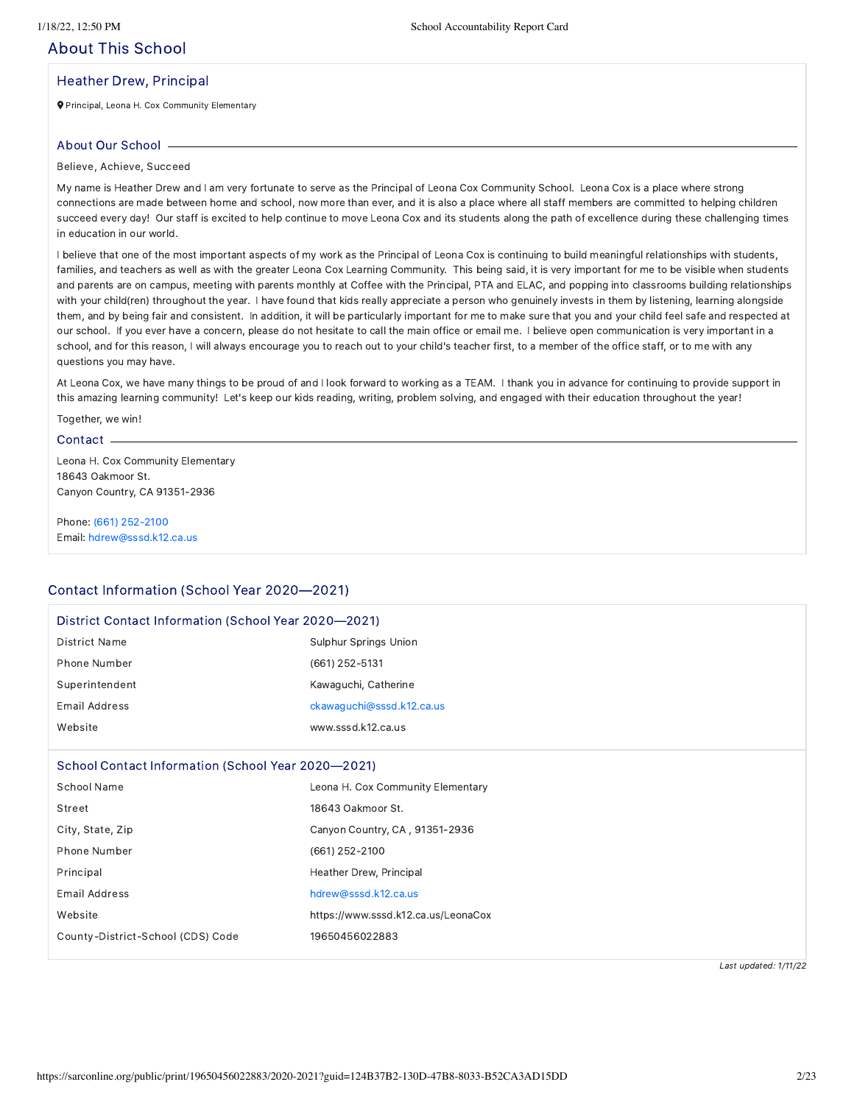## About This School

#### Heather Drew, Principal

Principal, Leona H. Cox Community Elementary

#### About Our School

Believe, Achieve, Succeed

My name is Heather Drew and I am very fortunate to serve as the Principal of Leona Cox Community School. Leona Cox is a place where strong connections are made between home and school, now more than ever, and it is also a place where all staff members are committed to helping children succeed every day! Our staff is excited to help continue to move Leona Cox and its students along the path of excellence during these challenging times in education in our world.

I believe that one of the most important aspects of my work as the Principal of Leona Cox is continuing to build meaningful relationships with students, families, and teachers as well as with the greater Leona Cox Learning Community. This being said, it is very important for me to be visible when students and parents are on campus, meeting with parents monthly at Coffee with the Principal, PTA and ELAC, and popping into classrooms building relationships with your child(ren) throughout the year. I have found that kids really appreciate a person who genuinely invests in them by listening, learning alongside them, and by being fair and consistent. In addition, it will be particularly important for me to make sure that you and your child feel safe and respected at our school. If you ever have a concern, please do not hesitate to call the main office or email me. I believe open communication is very important in a school, and for this reason, I will always encourage you to reach out to your child's teacher first, to a member of the office staff, or to me with any questions you may have.

At Leona Cox, we have many things to be proud of and I look forward to working as a TEAM. I thank you in advance for continuing to provide support in this amazing learning community! Let's keep our kids reading, writing, problem solving, and engaged with their education throughout the year!

#### Together, we win!

#### Contact -

Leona H. Cox Community Elementary 18643 Oakmoor St. Canyon Country, CA 91351-2936

Phone: (661) [252-2100](tel:(661) 252-2100) Email: [hdrew@sssd.k12.ca.us](mailto:hdrew@sssd.k12.ca.us)

## Contact Information (School Year 2020—2021)

| District Contact Information (School Year 2020–2021) |                                     |  |  |
|------------------------------------------------------|-------------------------------------|--|--|
| <b>District Name</b>                                 | Sulphur Springs Union               |  |  |
| Phone Number                                         | (661) 252-5131                      |  |  |
| Superintendent                                       | Kawaguchi, Catherine                |  |  |
| Email Address                                        | ckawaguchi@sssd.k12.ca.us           |  |  |
| Website                                              | www.sssd.k12.ca.us                  |  |  |
|                                                      |                                     |  |  |
| School Contact Information (School Year 2020–2021)   |                                     |  |  |
| School Name                                          | Leona H. Cox Community Elementary   |  |  |
| Street                                               | 18643 Oakmoor St.                   |  |  |
| City, State, Zip                                     | Canyon Country, CA, 91351-2936      |  |  |
| Phone Number                                         | (661) 252-2100                      |  |  |
| Principal                                            | Heather Drew, Principal             |  |  |
| Email Address                                        | hdrew@sssd.k12.ca.us                |  |  |
| Website                                              | https://www.sssd.k12.ca.us/LeonaCox |  |  |
| County-District-School (CDS) Code                    | 19650456022883                      |  |  |
|                                                      |                                     |  |  |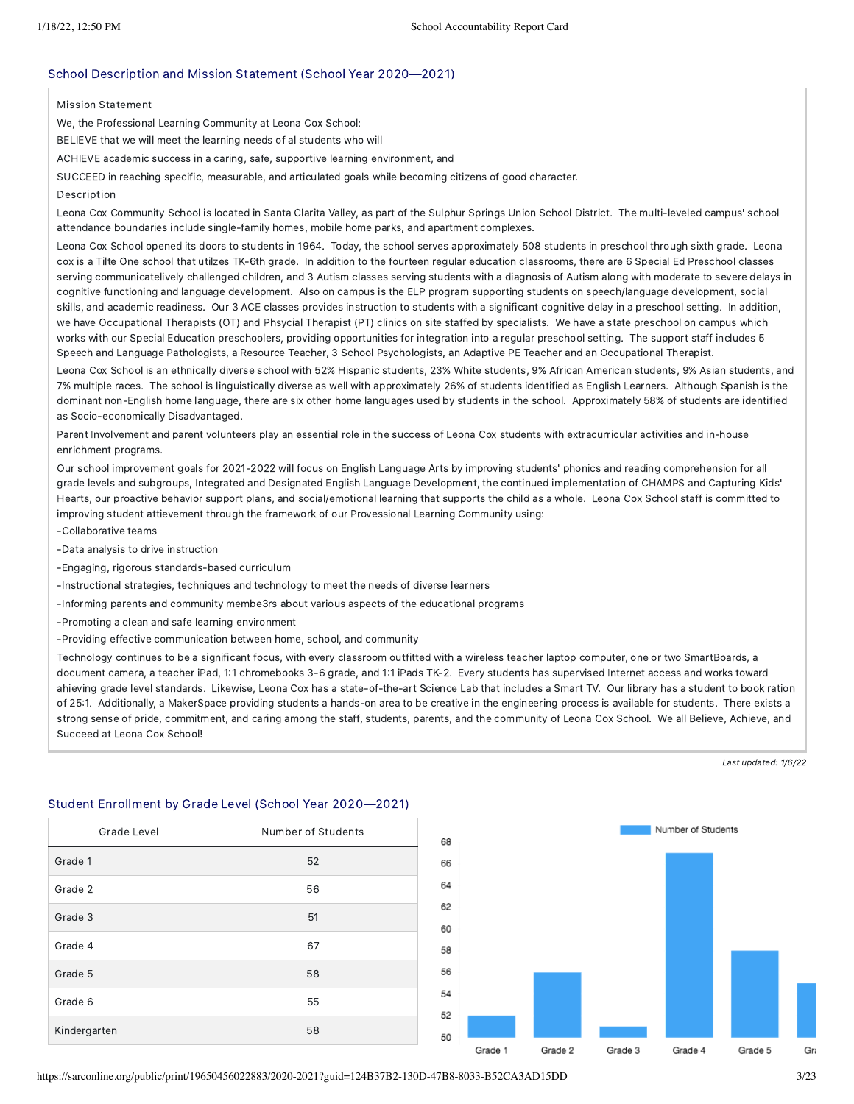#### School Description and Mission Statement (School Year 2020—2021)

Mission Statement

We, the Professional Learning Community at Leona Cox School:

BELIEVE that we will meet the learning needs of al students who will

ACHIEVE academic success in a caring, safe, supportive learning environment, and

SUCCEED in reaching specific, measurable, and articulated goals while becoming citizens of good character.

#### Description

Leona Cox Community School is located in Santa Clarita Valley, as part of the Sulphur Springs Union School District. The multi-leveled campus' school attendance boundaries include single-family homes, mobile home parks, and apartment complexes.

Leona Cox School opened its doors to students in 1964. Today, the school serves approximately 508 students in preschool through sixth grade. Leona cox is a Tilte One school that utilzes TK-6th grade. In addition to the fourteen regular education classrooms, there are 6 Special Ed Preschool classes serving communicatelively challenged children, and 3 Autism classes serving students with a diagnosis of Autism along with moderate to severe delays in cognitive functioning and language development. Also on campus is the ELP program supporting students on speech/language development, social skills, and academic readiness. Our 3 ACE classes provides instruction to students with a significant cognitive delay in a preschool setting. In addition, we have Occupational Therapists (OT) and Phsycial Therapist (PT) clinics on site staffed by specialists. We have a state preschool on campus which works with our Special Education preschoolers, providing opportunities for integration into a regular preschool setting. The support staff includes 5 Speech and Language Pathologists, a Resource Teacher, 3 School Psychologists, an Adaptive PE Teacher and an Occupational Therapist.

Leona Cox School is an ethnically diverse school with 52% Hispanic students, 23% White students, 9% African American students, 9% Asian students, and 7% multiple races. The school is linguistically diverse as well with approximately 26% of students identified as English Learners. Although Spanish is the dominant non-English home language, there are six other home languages used by students in the school. Approximately 58% of students are identified as Socio-economically Disadvantaged.

Parent Involvement and parent volunteers play an essential role in the success of Leona Cox students with extracurricular activities and in-house enrichment programs.

Our school improvement goals for 2021-2022 will focus on English Language Arts by improving students' phonics and reading comprehension for all grade levels and subgroups, Integrated and Designated English Language Development, the continued implementation of CHAMPS and Capturing Kids' Hearts, our proactive behavior support plans, and social/emotional learning that supports the child as a whole. Leona Cox School staff is committed to improving student attievement through the framework of our Provessional Learning Community using:

-Collaborative teams

- -Data analysis to drive instruction
- -Engaging, rigorous standards-based curriculum
- -Instructional strategies, techniques and technology to meet the needs of diverse learners
- -Informing parents and community membe3rs about various aspects of the educational programs
- -Promoting a clean and safe learning environment
- -Providing effective communication between home, school, and community

Technology continues to be a significant focus, with every classroom outfitted with a wireless teacher laptop computer, one or two SmartBoards, a document camera, a teacher iPad, 1:1 chromebooks 3-6 grade, and 1:1 iPads TK-2. Every students has supervised Internet access and works toward ahieving grade level standards. Likewise, Leona Cox has a state-of-the-art Science Lab that includes a Smart TV. Our library has a student to book ration of 25:1. Additionally, a MakerSpace providing students a hands-on area to be creative in the engineering process is available for students. There exists a strong sense of pride, commitment, and caring among the staff, students, parents, and the community of Leona Cox School. We all Believe, Achieve, and Succeed at Leona Cox School!

Last updated: 1/6/22

| Grade Level  | Number of Students |
|--------------|--------------------|
| Grade 1      | 52                 |
| Grade 2      | 56                 |
| Grade 3      | 51                 |
| Grade 4      | 67                 |
| Grade 5      | 58                 |
| Grade 6      | 55                 |
| Kindergarten | 58                 |

Student Enrollment by Grade Level (School Year 2020—2021)

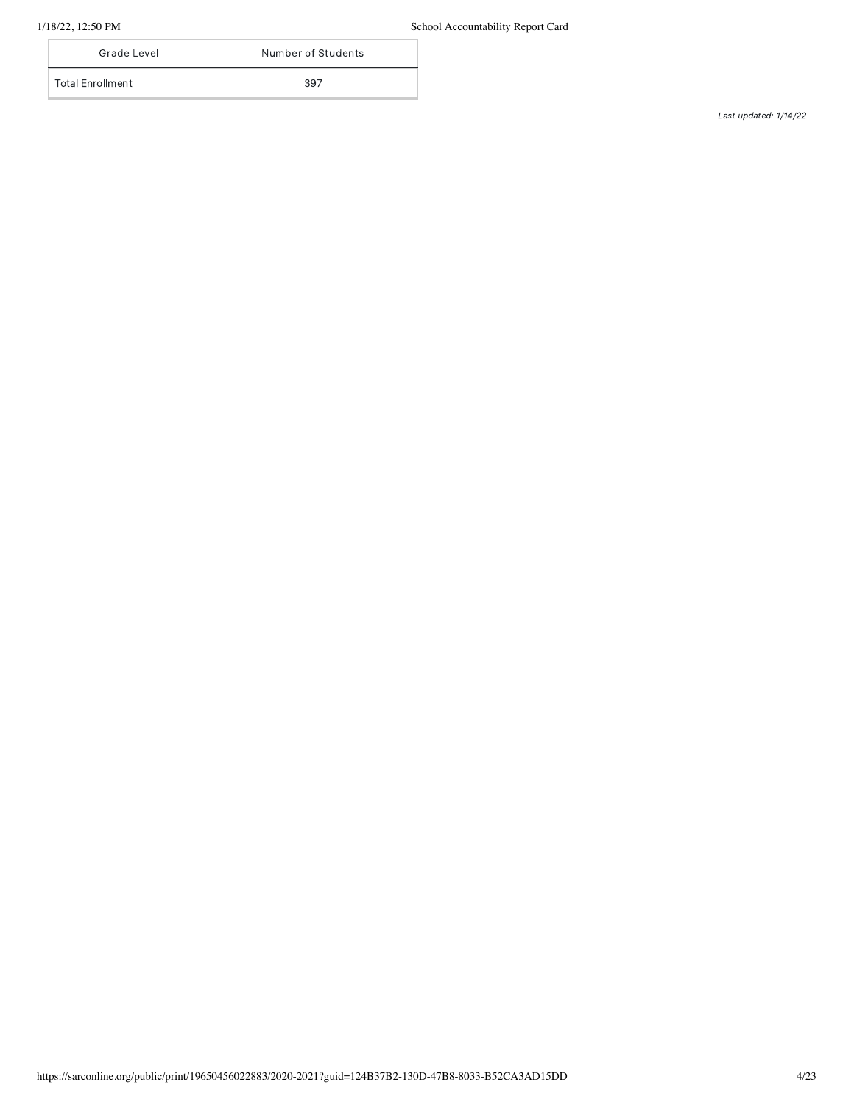1/18/22, 12:50 PM School Accountability Report Card

| Grade Level      | Number of Students |
|------------------|--------------------|
| Total Enrollment | 397                |
|                  |                    |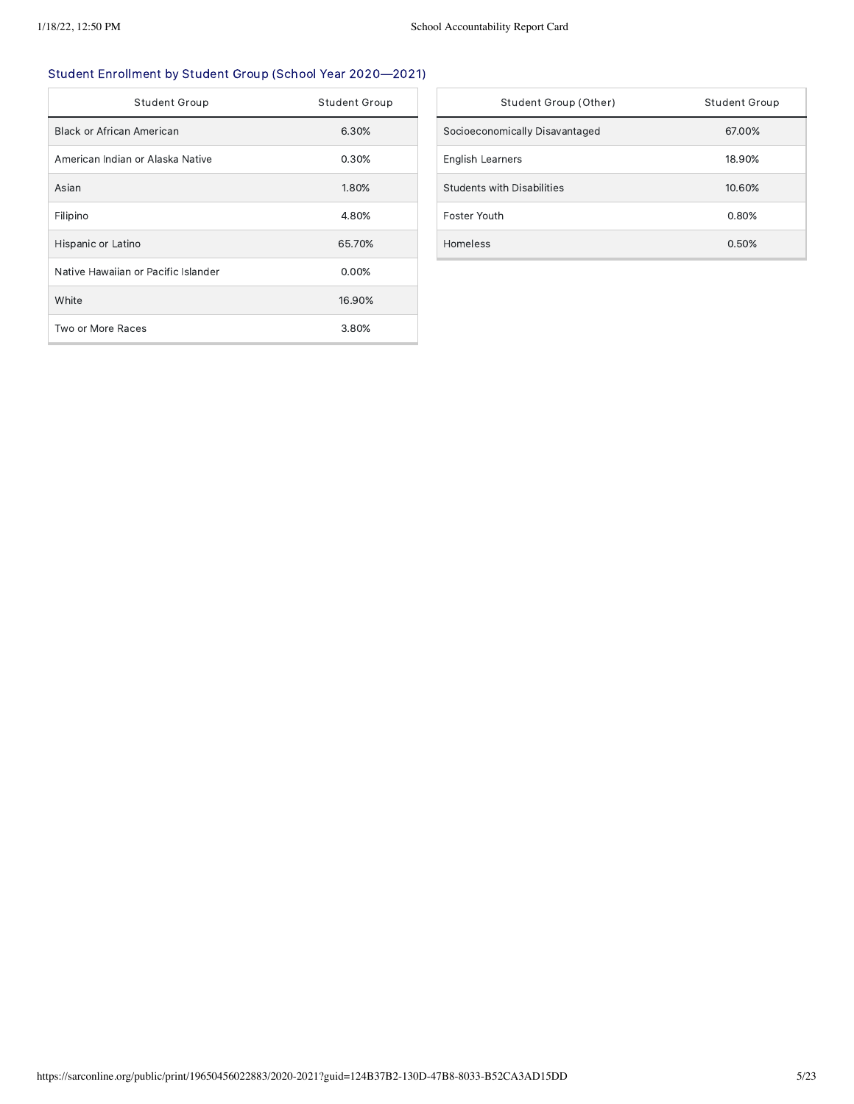## Student Enrollment by Student Group (School Year 2020—2021)

| <b>Student Group</b>                | <b>Student Group</b> |
|-------------------------------------|----------------------|
| Black or African American           | 6.30%                |
| American Indian or Alaska Native    | 0.30%                |
| Asian                               | 1.80%                |
| Filipino                            | 4.80%                |
| Hispanic or Latino                  | 65.70%               |
| Native Hawaiian or Pacific Islander | 0.00%                |
| White                               | 16.90%               |
| Two or More Races                   | 3.80%                |

| Student Group (Other)          | Student Group |
|--------------------------------|---------------|
| Socioeconomically Disavantaged | 67.00%        |
| <b>English Learners</b>        | 18.90%        |
| Students with Disabilities     | 10.60%        |
| Foster Youth                   | 0.80%         |
| Homeless                       | 0.50%         |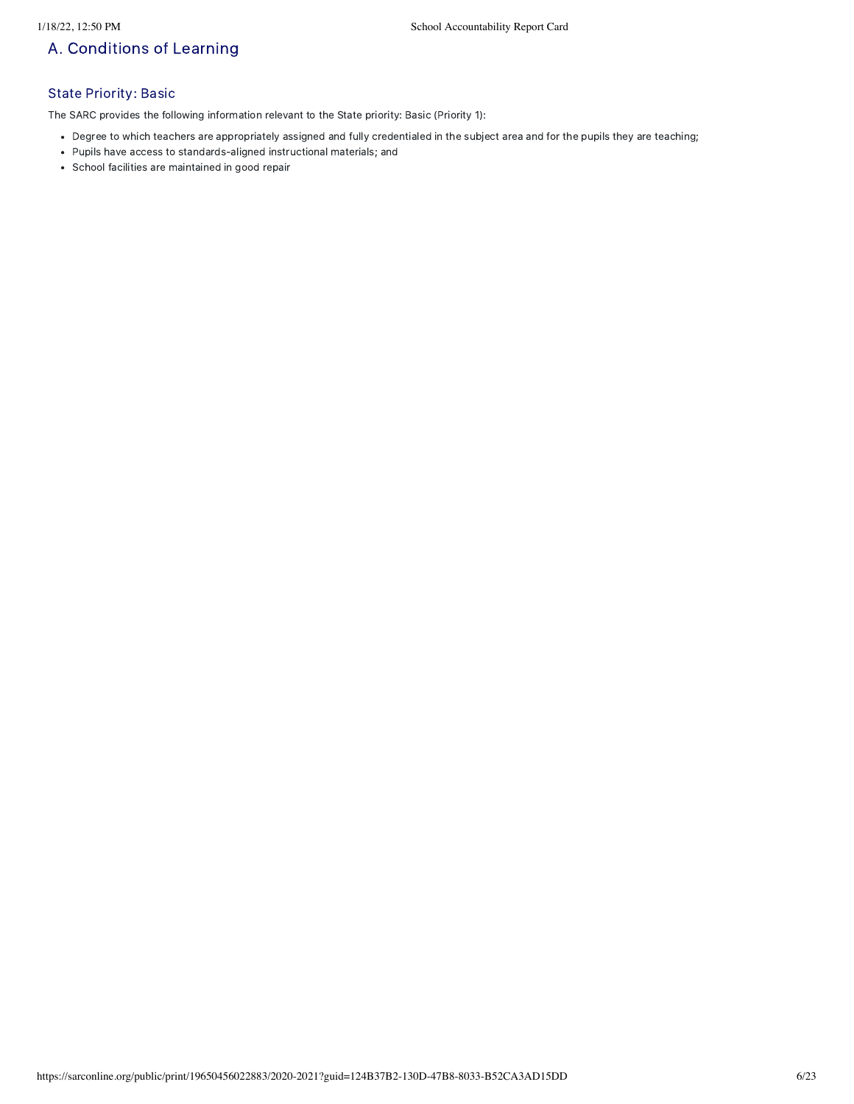## A. Conditions of Learning

## State Priority: Basic

The SARC provides the following information relevant to the State priority: Basic (Priority 1):

- Degree to which teachers are appropriately assigned and fully credentialed in the subject area and for the pupils they are teaching;
- Pupils have access to standards-aligned instructional materials; and
- School facilities are maintained in good repair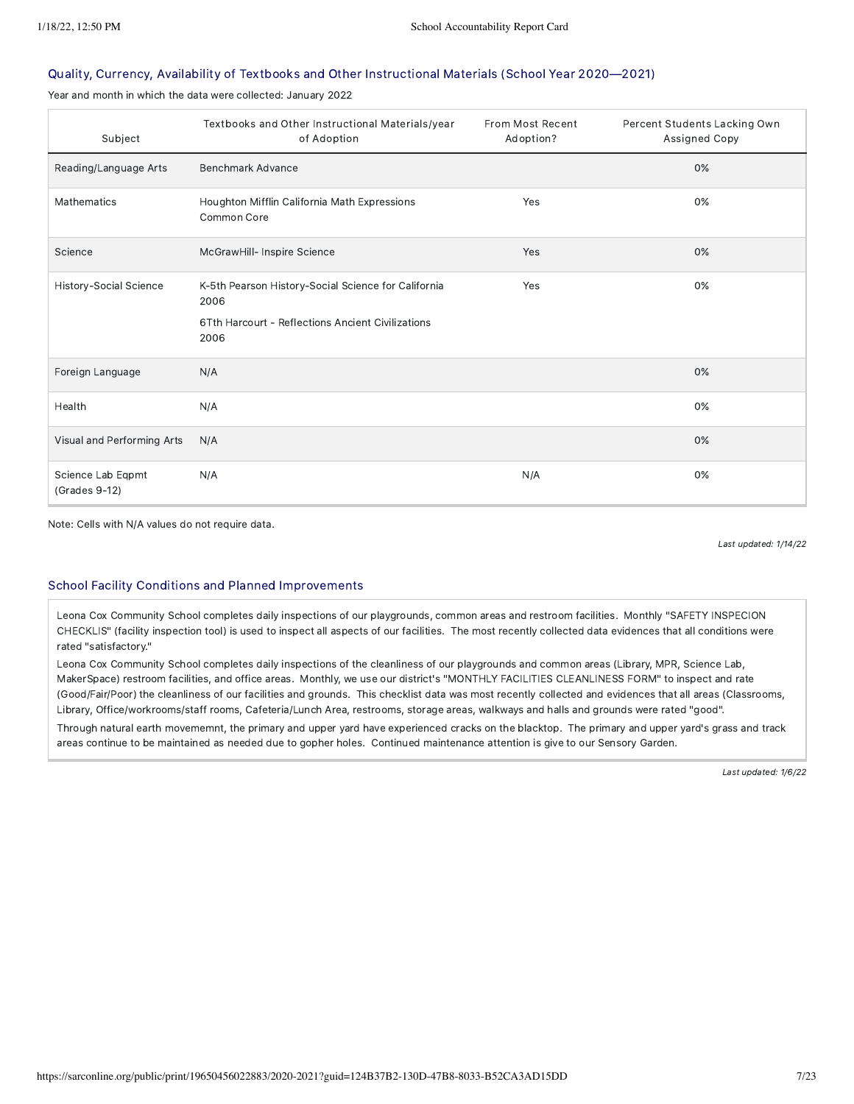#### Quality, Currency, Availability of Textbooks and Other Instructional Materials (School Year 2020—2021)

Year and month in which the data were collected: January 2022

| Subject                            | Textbooks and Other Instructional Materials/year<br>of Adoption                                                          | From Most Recent<br>Adoption? | Percent Students Lacking Own<br>Assigned Copy |
|------------------------------------|--------------------------------------------------------------------------------------------------------------------------|-------------------------------|-----------------------------------------------|
| Reading/Language Arts              | Benchmark Advance                                                                                                        |                               | 0%                                            |
| <b>Mathematics</b>                 | Houghton Mifflin California Math Expressions<br>Common Core                                                              | Yes                           | 0%                                            |
| Science                            | McGrawHill- Inspire Science                                                                                              | Yes                           | 0%                                            |
| History-Social Science             | K-5th Pearson History-Social Science for California<br>2006<br>6Tth Harcourt - Reflections Ancient Civilizations<br>2006 | Yes                           | 0%                                            |
| Foreign Language                   | N/A                                                                                                                      |                               | 0%                                            |
| Health                             | N/A                                                                                                                      |                               | 0%                                            |
| Visual and Performing Arts         | N/A                                                                                                                      |                               | 0%                                            |
| Science Lab Eqpmt<br>(Grades 9-12) | N/A                                                                                                                      | N/A                           | 0%                                            |

Note: Cells with N/A values do not require data.

Last updated: 1/14/22

#### School Facility Conditions and Planned Improvements

Leona Cox Community School completes daily inspections of our playgrounds, common areas and restroom facilities. Monthly "SAFETY INSPECION CHECKLIS" (facility inspection tool) is used to inspect all aspects of our facilities. The most recently collected data evidences that all conditions were rated "satisfactory."

Leona Cox Community School completes daily inspections of the cleanliness of our playgrounds and common areas (Library, MPR, Science Lab, MakerSpace) restroom facilities, and office areas. Monthly, we use our district's "MONTHLY FACILITIES CLEANLINESS FORM" to inspect and rate (Good/Fair/Poor) the cleanliness of our facilities and grounds. This checklist data was most recently collected and evidences that all areas (Classrooms, Library, Office/workrooms/staff rooms, Cafeteria/Lunch Area, restrooms, storage areas, walkways and halls and grounds were rated "good".

Through natural earth movememnt, the primary and upper yard have experienced cracks on the blacktop. The primary and upper yard's grass and track areas continue to be maintained as needed due to gopher holes. Continued maintenance attention is give to our Sensory Garden.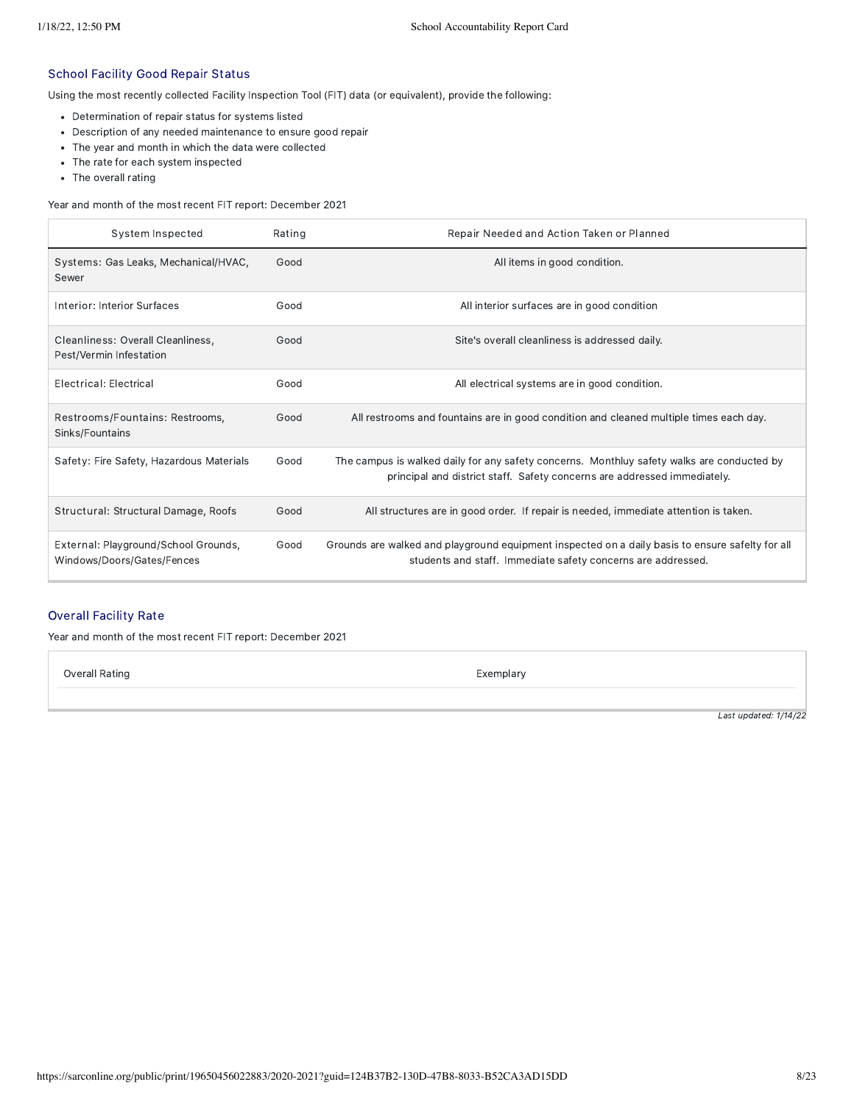#### School Facility Good Repair Status

Using the most recently collected Facility Inspection Tool (FIT) data (or equivalent), provide the following:

- Determination of repair status for systems listed
- Description of any needed maintenance to ensure good repair
- The year and month in which the data were collected
- The rate for each system inspected
- The overall rating

Year and month of the most recent FIT report: December 2021

| System Inspected                                                   | Rating | Repair Needed and Action Taken or Planned                                                                                                                              |
|--------------------------------------------------------------------|--------|------------------------------------------------------------------------------------------------------------------------------------------------------------------------|
| Systems: Gas Leaks, Mechanical/HVAC,<br>Sewer                      | Good   | All items in good condition.                                                                                                                                           |
| Interior: Interior Surfaces                                        | Good   | All interior surfaces are in good condition                                                                                                                            |
| Cleanliness: Overall Cleanliness,<br>Pest/Vermin Infestation       | Good   | Site's overall cleanliness is addressed daily.                                                                                                                         |
| Electrical: Electrical                                             | Good   | All electrical systems are in good condition.                                                                                                                          |
| Restrooms/Fountains: Restrooms,<br>Sinks/Fountains                 | Good   | All restrooms and fountains are in good condition and cleaned multiple times each day.                                                                                 |
| Safety: Fire Safety, Hazardous Materials                           | Good   | The campus is walked daily for any safety concerns. Monthluy safety walks are conducted by<br>principal and district staff. Safety concerns are addressed immediately. |
| Structural: Structural Damage, Roofs                               | Good   | All structures are in good order. If repair is needed, immediate attention is taken.                                                                                   |
| External: Playground/School Grounds,<br>Windows/Doors/Gates/Fences | Good   | Grounds are walked and playground equipment inspected on a daily basis to ensure safelty for all<br>students and staff. Immediate safety concerns are addressed.       |

### Overall Facility Rate

Year and month of the most recent FIT report: December 2021

Overall Rating **Exemplary** Exemplary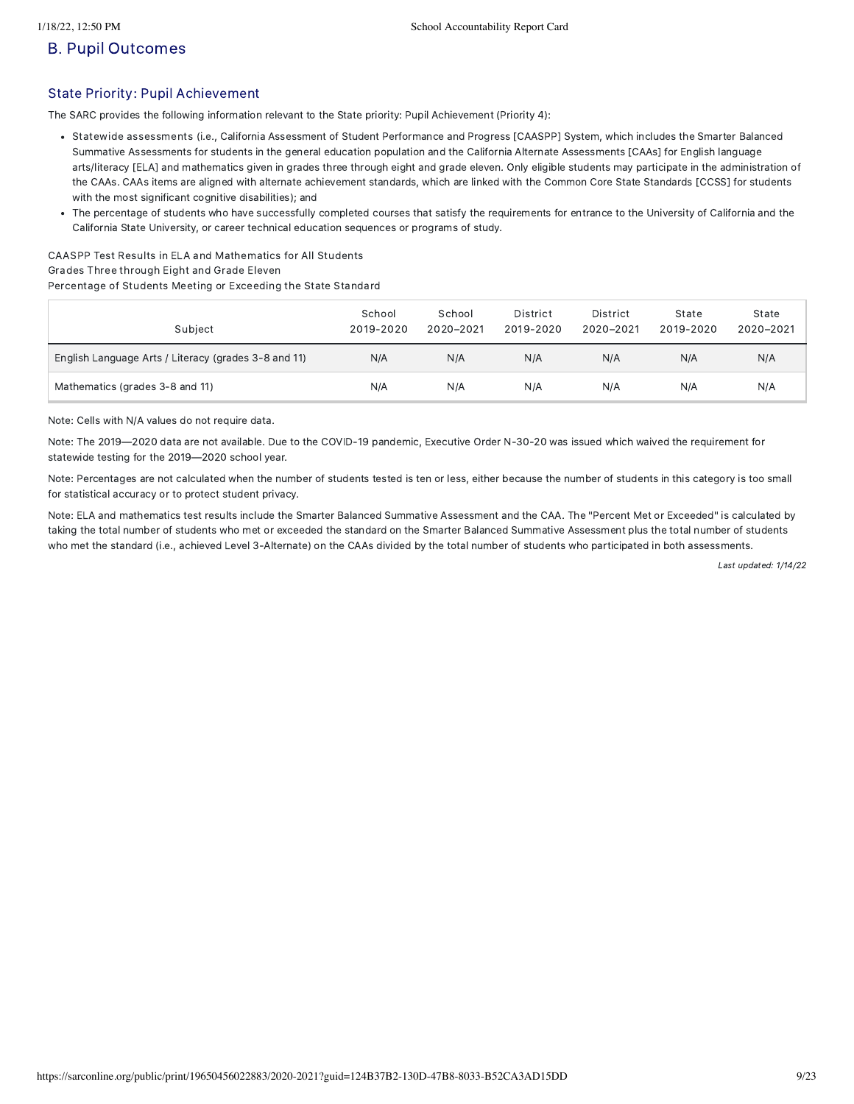## B. Pupil Outcomes

### State Priority: Pupil Achievement

The SARC provides the following information relevant to the State priority: Pupil Achievement (Priority 4):

- Statewide assessments (i.e., California Assessment of Student Performance and Progress [CAASPP] System, which includes the Smarter Balanced Summative Assessments for students in the general education population and the California Alternate Assessments [CAAs] for English language arts/literacy [ELA] and mathematics given in grades three through eight and grade eleven. Only eligible students may participate in the administration of the CAAs. CAAs items are aligned with alternate achievement standards, which are linked with the Common Core State Standards [CCSS] for students with the most significant cognitive disabilities); and
- The percentage of students who have successfully completed courses that satisfy the requirements for entrance to the University of California and the California State University, or career technical education sequences or programs of study.

CAASPP Test Results in ELA and Mathematics for All Students Grades Three through Eight and Grade Eleven Percentage of Students Meeting or Exceeding the State Standard

| Subject                                              | School<br>2019-2020 | School<br>2020-2021 | District<br>2019-2020 | District<br>2020-2021 | State<br>2019-2020 | State<br>2020-2021 |
|------------------------------------------------------|---------------------|---------------------|-----------------------|-----------------------|--------------------|--------------------|
| English Language Arts / Literacy (grades 3-8 and 11) | N/A                 | N/A                 | N/A                   | N/A                   | N/A                | N/A                |
| Mathematics (grades 3-8 and 11)                      | N/A                 | N/A                 | N/A                   | N/A                   | N/A                | N/A                |

Note: Cells with N/A values do not require data.

Note: The 2019—2020 data are not available. Due to the COVID-19 pandemic, Executive Order N-30-20 was issued which waived the requirement for statewide testing for the 2019—2020 school year.

Note: Percentages are not calculated when the number of students tested is ten or less, either because the number of students in this category is too small for statistical accuracy or to protect student privacy.

Note: ELA and mathematics test results include the Smarter Balanced Summative Assessment and the CAA. The "Percent Met or Exceeded" is calculated by taking the total number of students who met or exceeded the standard on the Smarter Balanced Summative Assessment plus the total number of students who met the standard (i.e., achieved Level 3-Alternate) on the CAAs divided by the total number of students who participated in both assessments.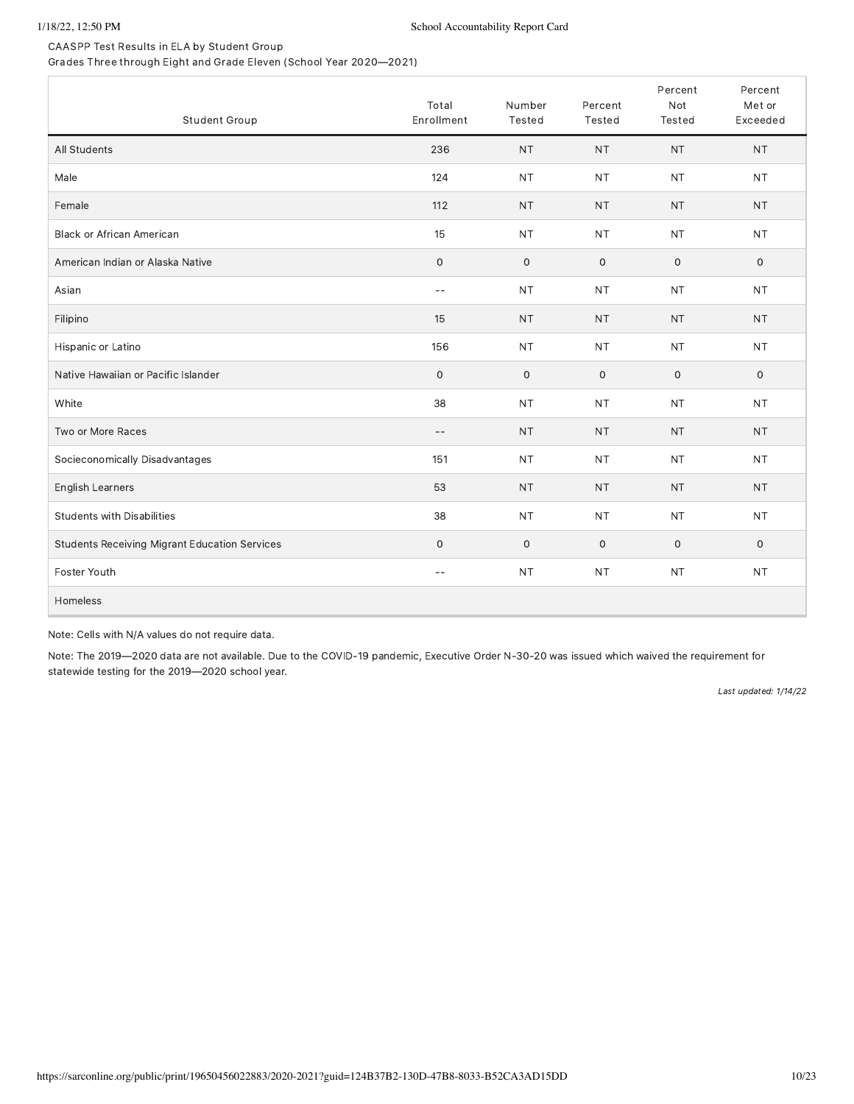CAASPP Test Results in ELA by Student Group Grades Three through Eight and Grade Eleven (School Year 2020—2021)

| Student Group                                        | Total<br>Enrollment | Number<br>Tested    | Percent<br>Tested   | Percent<br>Not<br>Tested | Percent<br>Met or<br>Exceeded |
|------------------------------------------------------|---------------------|---------------------|---------------------|--------------------------|-------------------------------|
| All Students                                         | 236                 | <b>NT</b>           | <b>NT</b>           | <b>NT</b>                | <b>NT</b>                     |
| Male                                                 | 124                 | <b>NT</b>           | <b>NT</b>           | <b>NT</b>                | <b>NT</b>                     |
| Female                                               | 112                 | <b>NT</b>           | NT                  | <b>NT</b>                | <b>NT</b>                     |
| <b>Black or African American</b>                     | 15                  | <b>NT</b>           | <b>NT</b>           | <b>NT</b>                | <b>NT</b>                     |
| American Indian or Alaska Native                     | $\,0\,$             | $\mathsf{O}\xspace$ | $\mathsf{O}\xspace$ | $\mathbf 0$              | $\mathsf{O}\xspace$           |
| Asian                                                | $ -$                | <b>NT</b>           | <b>NT</b>           | <b>NT</b>                | <b>NT</b>                     |
| Filipino                                             | 15                  | <b>NT</b>           | <b>NT</b>           | <b>NT</b>                | <b>NT</b>                     |
| Hispanic or Latino                                   | 156                 | <b>NT</b>           | <b>NT</b>           | <b>NT</b>                | <b>NT</b>                     |
| Native Hawaiian or Pacific Islander                  | $\mathsf{O}\xspace$ | $\mathsf{O}$        | $\mathbf 0$         | $\mathbf 0$              | $\mathbf 0$                   |
| White                                                | 38                  | <b>NT</b>           | <b>NT</b>           | <b>NT</b>                | <b>NT</b>                     |
| Two or More Races                                    | $-$                 | <b>NT</b>           | <b>NT</b>           | <b>NT</b>                | <b>NT</b>                     |
| Socieconomically Disadvantages                       | 151                 | <b>NT</b>           | <b>NT</b>           | <b>NT</b>                | <b>NT</b>                     |
| English Learners                                     | 53                  | <b>NT</b>           | <b>NT</b>           | <b>NT</b>                | <b>NT</b>                     |
| <b>Students with Disabilities</b>                    | 38                  | <b>NT</b>           | <b>NT</b>           | <b>NT</b>                | <b>NT</b>                     |
| <b>Students Receiving Migrant Education Services</b> | $\mathbf 0$         | 0                   | $\mathsf{O}\xspace$ | $\mathbf 0$              | 0                             |
| Foster Youth                                         | $-\,-$              | NT                  | <b>NT</b>           | <b>NT</b>                | <b>NT</b>                     |
| Homeless                                             |                     |                     |                     |                          |                               |

Note: Cells with N/A values do not require data.

Note: The 2019—2020 data are not available. Due to the COVID-19 pandemic, Executive Order N-30-20 was issued which waived the requirement for statewide testing for the 2019—2020 school year.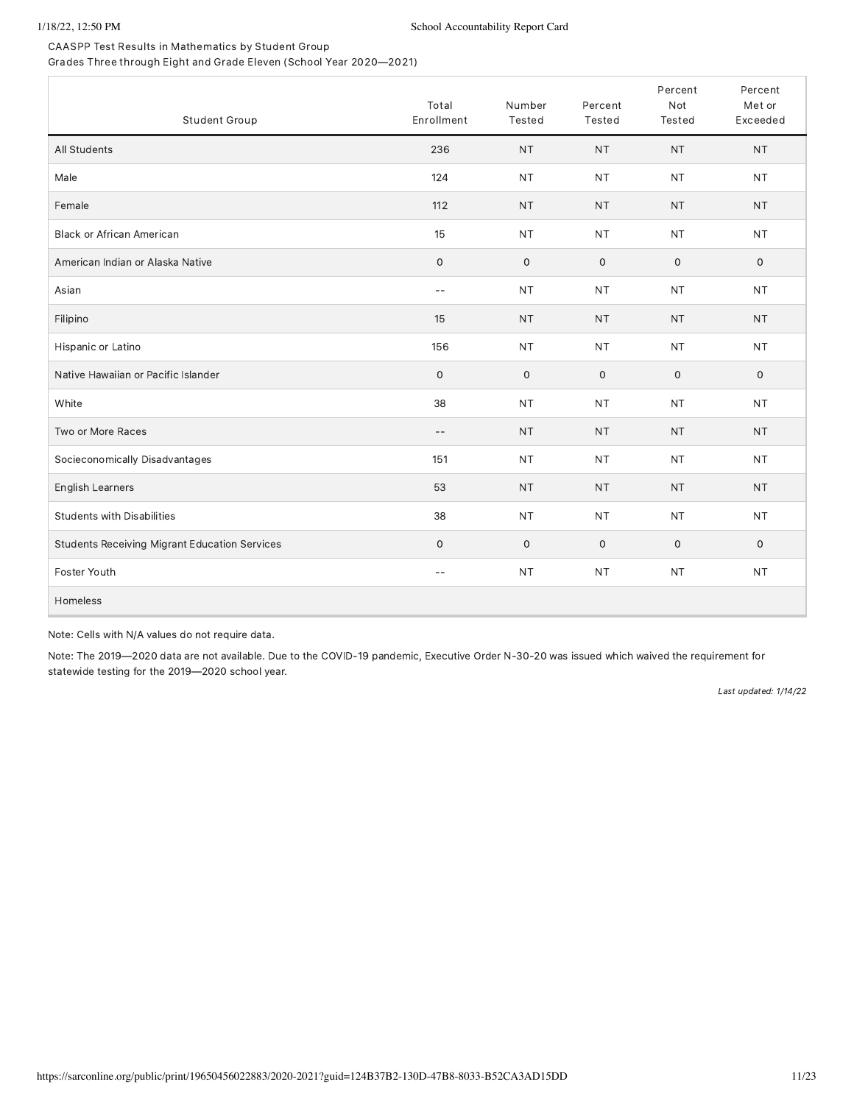CAASPP Test Results in Mathematics by Student Group Grades Three through Eight and Grade Eleven (School Year 2020—2021)

| Student Group                                        | Total<br>Enrollment | Number<br>Tested | Percent<br>Tested | Percent<br>Not<br>Tested | Percent<br>Met or<br>Exceeded |
|------------------------------------------------------|---------------------|------------------|-------------------|--------------------------|-------------------------------|
| All Students                                         | 236                 | <b>NT</b>        | <b>NT</b>         | <b>NT</b>                | <b>NT</b>                     |
| Male                                                 | 124                 | <b>NT</b>        | <b>NT</b>         | <b>NT</b>                | <b>NT</b>                     |
| Female                                               | 112                 | <b>NT</b>        | <b>NT</b>         | <b>NT</b>                | <b>NT</b>                     |
| <b>Black or African American</b>                     | 15                  | <b>NT</b>        | <b>NT</b>         | <b>NT</b>                | <b>NT</b>                     |
| American Indian or Alaska Native                     | $\mathsf{O}\xspace$ | $\mathbf 0$      | $\mathbf 0$       | $\mathbf 0$              | $\mathbf 0$                   |
| Asian                                                | $-$                 | <b>NT</b>        | <b>NT</b>         | <b>NT</b>                | <b>NT</b>                     |
| Filipino                                             | 15                  | <b>NT</b>        | <b>NT</b>         | <b>NT</b>                | <b>NT</b>                     |
| Hispanic or Latino                                   | 156                 | <b>NT</b>        | <b>NT</b>         | <b>NT</b>                | <b>NT</b>                     |
| Native Hawaiian or Pacific Islander                  | $\mathbf 0$         | 0                | $\mathbf 0$       | $\mathbf 0$              | $\mathbf 0$                   |
| White                                                | 38                  | <b>NT</b>        | <b>NT</b>         | <b>NT</b>                | <b>NT</b>                     |
| Two or More Races                                    | $-\,-$              | <b>NT</b>        | <b>NT</b>         | <b>NT</b>                | <b>NT</b>                     |
| Socieconomically Disadvantages                       | 151                 | <b>NT</b>        | <b>NT</b>         | <b>NT</b>                | <b>NT</b>                     |
| English Learners                                     | 53                  | <b>NT</b>        | <b>NT</b>         | <b>NT</b>                | <b>NT</b>                     |
| <b>Students with Disabilities</b>                    | 38                  | <b>NT</b>        | <b>NT</b>         | <b>NT</b>                | <b>NT</b>                     |
| <b>Students Receiving Migrant Education Services</b> | $\mathbf 0$         | $\mathbf 0$      | $\mathbf 0$       | 0                        | $\mathbf 0$                   |
| Foster Youth                                         | $-$                 | <b>NT</b>        | <b>NT</b>         | <b>NT</b>                | <b>NT</b>                     |
| Homeless                                             |                     |                  |                   |                          |                               |

Note: Cells with N/A values do not require data.

Note: The 2019—2020 data are not available. Due to the COVID-19 pandemic, Executive Order N-30-20 was issued which waived the requirement for statewide testing for the 2019—2020 school year.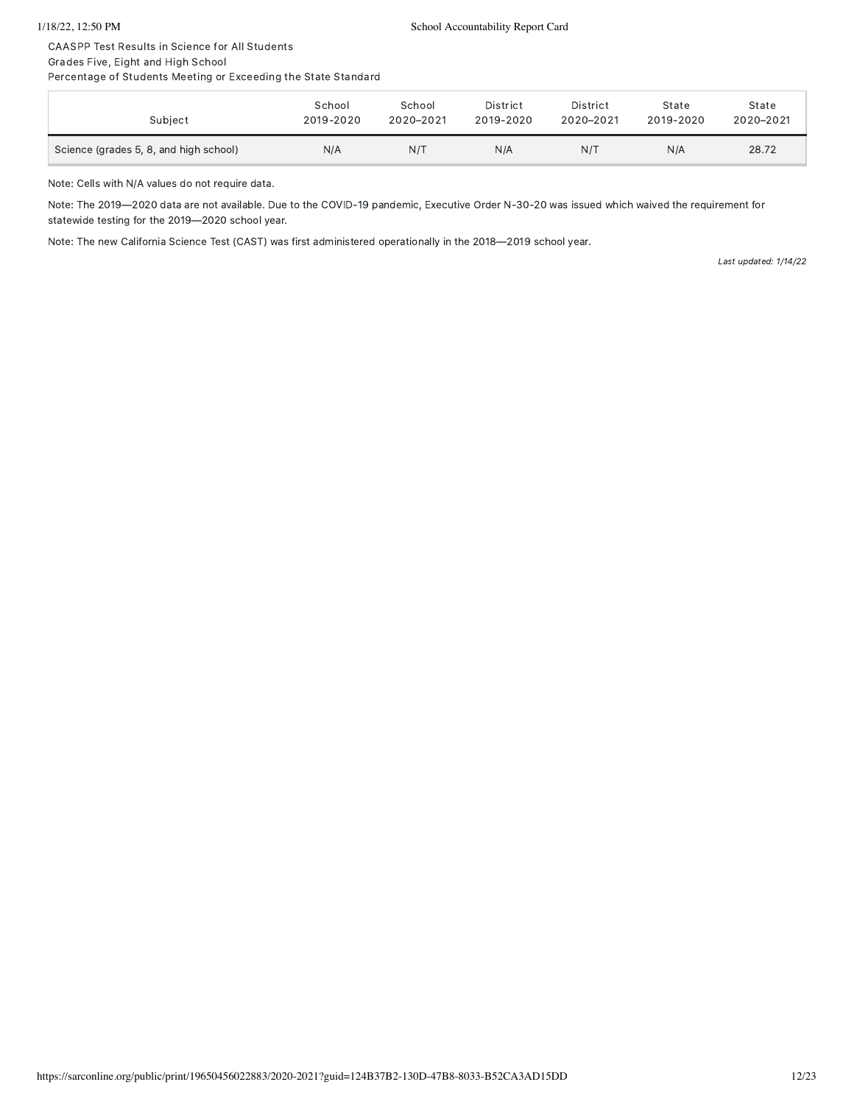CAASPP Test Results in Science for All Students

Grades Five, Eight and High School

Percentage of Students Meeting or Exceeding the State Standard

| Subject                                | School    | School    | District  | District  | State     | State     |
|----------------------------------------|-----------|-----------|-----------|-----------|-----------|-----------|
|                                        | 2019-2020 | 2020-2021 | 2019-2020 | 2020-2021 | 2019-2020 | 2020-2021 |
| Science (grades 5, 8, and high school) | N/A       | N/T       | N/A       | N/T       | N/A       | 28.72     |

Note: Cells with N/A values do not require data.

Note: The 2019—2020 data are not available. Due to the COVID-19 pandemic, Executive Order N-30-20 was issued which waived the requirement for statewide testing for the 2019—2020 school year.

Note: The new California Science Test (CAST) was first administered operationally in the 2018—2019 school year.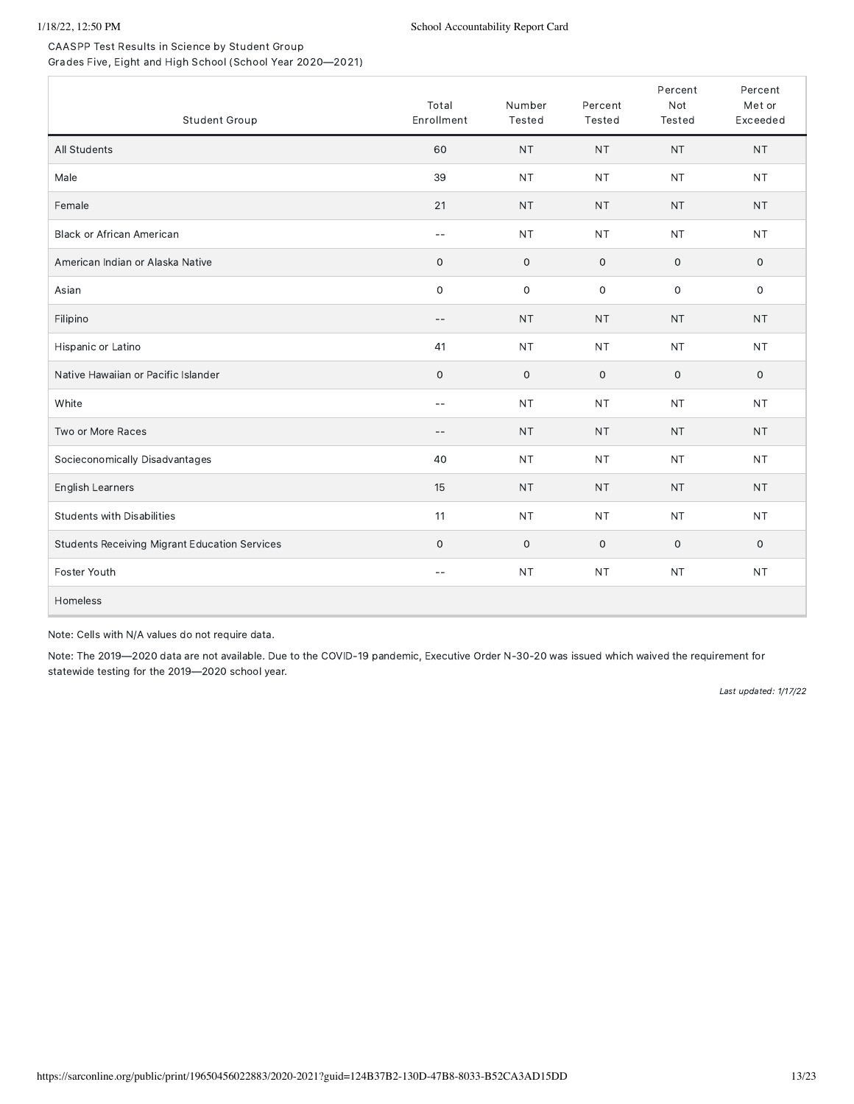CAASPP Test Results in Science by Student Group Grades Five, Eight and High School (School Year 2020—2021)

| Student Group                                        | Total<br>Enrollment      | Number<br>Tested    | Percent<br>Tested | Percent<br>Not<br><b>Tested</b> | Percent<br>Met or<br>Exceeded |
|------------------------------------------------------|--------------------------|---------------------|-------------------|---------------------------------|-------------------------------|
| All Students                                         | 60                       | <b>NT</b>           | <b>NT</b>         | <b>NT</b>                       | <b>NT</b>                     |
| Male                                                 | 39                       | <b>NT</b>           | <b>NT</b>         | <b>NT</b>                       | <b>NT</b>                     |
| Female                                               | 21                       | <b>NT</b>           | <b>NT</b>         | <b>NT</b>                       | <b>NT</b>                     |
| <b>Black or African American</b>                     | $-$                      | <b>NT</b>           | <b>NT</b>         | <b>NT</b>                       | <b>NT</b>                     |
| American Indian or Alaska Native                     | $\mathbf 0$              | $\mathsf{O}\xspace$ | $\mathbf 0$       | $\mathbf 0$                     | $\mathbf 0$                   |
| Asian                                                | $\mathbf 0$              | $\mathsf{O}\xspace$ | $\mathbf 0$       | 0                               | $\mathsf{O}\xspace$           |
| Filipino                                             | $\qquad \qquad -$        | <b>NT</b>           | <b>NT</b>         | <b>NT</b>                       | <b>NT</b>                     |
| Hispanic or Latino                                   | 41                       | <b>NT</b>           | <b>NT</b>         | <b>NT</b>                       | <b>NT</b>                     |
| Native Hawaiian or Pacific Islander                  | $\mathsf O$              | $\mathsf{O}\xspace$ | $\mathsf O$       | 0                               | $\mathsf{O}$                  |
| White                                                | $-$                      | <b>NT</b>           | <b>NT</b>         | <b>NT</b>                       | <b>NT</b>                     |
| Two or More Races                                    | $\overline{\phantom{m}}$ | <b>NT</b>           | <b>NT</b>         | <b>NT</b>                       | <b>NT</b>                     |
| Socieconomically Disadvantages                       | 40                       | <b>NT</b>           | <b>NT</b>         | <b>NT</b>                       | <b>NT</b>                     |
| English Learners                                     | 15                       | <b>NT</b>           | <b>NT</b>         | <b>NT</b>                       | <b>NT</b>                     |
| <b>Students with Disabilities</b>                    | 11                       | <b>NT</b>           | <b>NT</b>         | <b>NT</b>                       | <b>NT</b>                     |
| <b>Students Receiving Migrant Education Services</b> | $\mathbf 0$              | $\mathsf{O}\xspace$ | $\mathbf 0$       | 0                               | 0                             |
| Foster Youth                                         | $\qquad \qquad -$        | <b>NT</b>           | <b>NT</b>         | <b>NT</b>                       | <b>NT</b>                     |
| Homeless                                             |                          |                     |                   |                                 |                               |

Note: Cells with N/A values do not require data.

Note: The 2019—2020 data are not available. Due to the COVID-19 pandemic, Executive Order N-30-20 was issued which waived the requirement for statewide testing for the 2019—2020 school year.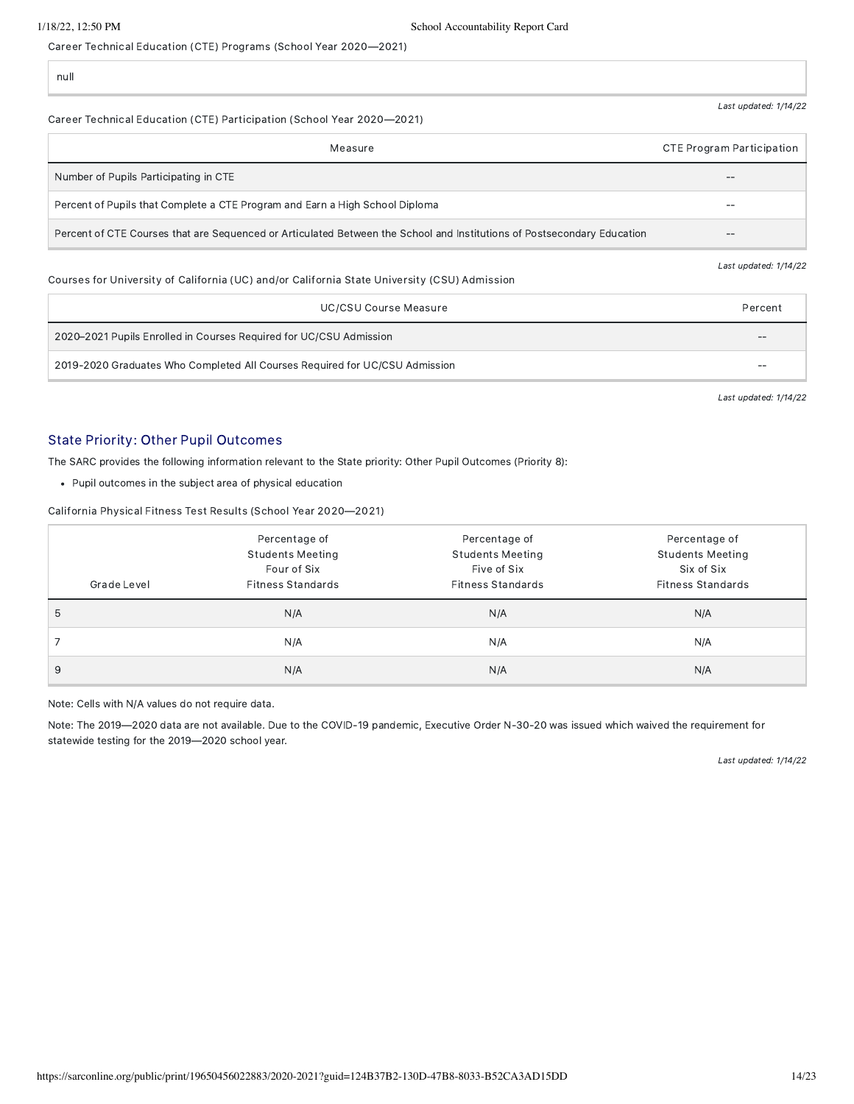Career Technical Education (CTE) Programs (School Year 2020—2021)

null

#### Career Technical Education (CTE) Participation (School Year 2020—2021)

| Measure                                                                                                                 | CTE Program Participation |
|-------------------------------------------------------------------------------------------------------------------------|---------------------------|
| Number of Pupils Participating in CTE                                                                                   | --                        |
| Percent of Pupils that Complete a CTE Program and Earn a High School Diploma                                            | --                        |
| Percent of CTE Courses that are Sequenced or Articulated Between the School and Institutions of Postsecondary Education | --                        |

#### Courses for University of California (UC) and/or California State University (CSU) Admission

| UC/CSU Course Measure                                                       | Percent |  |
|-----------------------------------------------------------------------------|---------|--|
| 2020–2021 Pupils Enrolled in Courses Required for UC/CSU Admission          |         |  |
| 2019-2020 Graduates Who Completed All Courses Required for UC/CSU Admission |         |  |

Last updated: 1/14/22

Last updated: 1/14/22

Last updated: 1/14/22

### State Priority: Other Pupil Outcomes

The SARC provides the following information relevant to the State priority: Other Pupil Outcomes (Priority 8):

Pupil outcomes in the subject area of physical education

California Physical Fitness Test Results (School Year 2020—2021)

|             | Percentage of            | Percentage of            | Percentage of            |
|-------------|--------------------------|--------------------------|--------------------------|
|             | <b>Students Meeting</b>  | <b>Students Meeting</b>  | <b>Students Meeting</b>  |
|             | Four of Six              | Five of Six              | Six of Six               |
| Grade Level | <b>Fitness Standards</b> | <b>Fitness Standards</b> | <b>Fitness Standards</b> |
| 5           | N/A                      | N/A                      | N/A                      |
|             | N/A                      | N/A                      | N/A                      |
| 9           | N/A                      | N/A                      | N/A                      |

Note: Cells with N/A values do not require data.

Note: The 2019—2020 data are not available. Due to the COVID-19 pandemic, Executive Order N-30-20 was issued which waived the requirement for statewide testing for the 2019—2020 school year.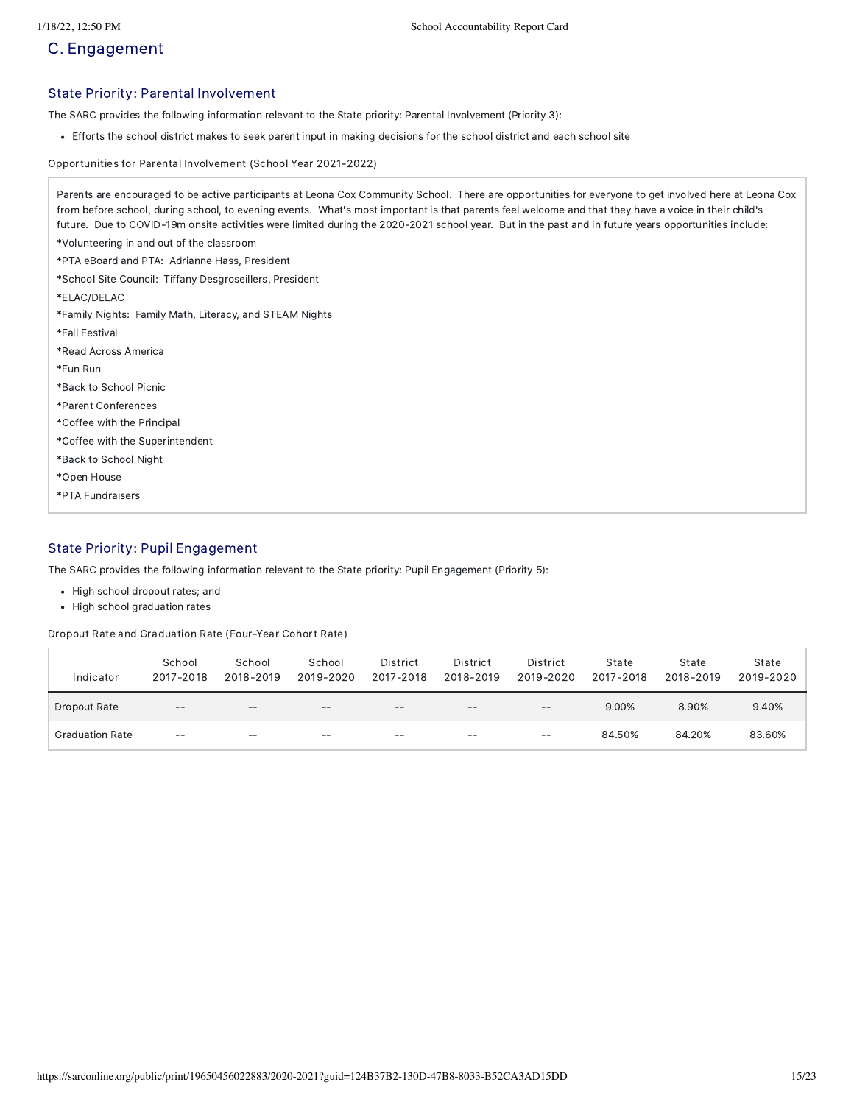## C. Engagement

#### State Priority: Parental Involvement

The SARC provides the following information relevant to the State priority: Parental Involvement (Priority 3):

Efforts the school district makes to seek parent input in making decisions for the school district and each school site

Opportunities for Parental Involvement (School Year 2021-2022)

| Parents are encouraged to be active participants at Leona Cox Community School. There are opportunities for everyone to get involved here at Leona Cox<br>from before school, during school, to evening events. What's most important is that parents feel welcome and that they have a voice in their child's<br>future. Due to COVID-19m onsite activities were limited during the 2020-2021 school year. But in the past and in future years opportunities include: |
|------------------------------------------------------------------------------------------------------------------------------------------------------------------------------------------------------------------------------------------------------------------------------------------------------------------------------------------------------------------------------------------------------------------------------------------------------------------------|
| *Volunteering in and out of the classroom                                                                                                                                                                                                                                                                                                                                                                                                                              |
| *PTA eBoard and PTA: Adrianne Hass, President                                                                                                                                                                                                                                                                                                                                                                                                                          |
| *School Site Council: Tiffany Desgroseillers, President                                                                                                                                                                                                                                                                                                                                                                                                                |
| *ELAC/DELAC                                                                                                                                                                                                                                                                                                                                                                                                                                                            |
| *Family Nights: Family Math, Literacy, and STEAM Nights                                                                                                                                                                                                                                                                                                                                                                                                                |
| *Fall Festival                                                                                                                                                                                                                                                                                                                                                                                                                                                         |
| *Read Across America                                                                                                                                                                                                                                                                                                                                                                                                                                                   |
| *Fun Run                                                                                                                                                                                                                                                                                                                                                                                                                                                               |
| *Back to School Picnic                                                                                                                                                                                                                                                                                                                                                                                                                                                 |
| *Parent Conferences                                                                                                                                                                                                                                                                                                                                                                                                                                                    |
| *Coffee with the Principal                                                                                                                                                                                                                                                                                                                                                                                                                                             |
| *Coffee with the Superintendent                                                                                                                                                                                                                                                                                                                                                                                                                                        |
| *Back to School Night                                                                                                                                                                                                                                                                                                                                                                                                                                                  |
| *Open House                                                                                                                                                                                                                                                                                                                                                                                                                                                            |
| *PTA Fundraisers                                                                                                                                                                                                                                                                                                                                                                                                                                                       |

### State Priority: Pupil Engagement

The SARC provides the following information relevant to the State priority: Pupil Engagement (Priority 5):

- High school dropout rates; and
- High school graduation rates

Dropout Rate and Graduation Rate (Four-Year Cohort Rate)

| Indicator              | School<br>2017-2018 | School<br>2018-2019 | School<br>2019-2020 | District<br>2017-2018 | District<br>2018-2019 | District<br>2019-2020 | State<br>2017-2018 | State<br>2018-2019 | State<br>2019-2020 |
|------------------------|---------------------|---------------------|---------------------|-----------------------|-----------------------|-----------------------|--------------------|--------------------|--------------------|
| Dropout Rate           | $- -$               | $- -$               | $- -$               | $\qquad \qquad -$     | $- -$                 | $\qquad \qquad -$     | 9.00%              | 8.90%              | 9.40%              |
| <b>Graduation Rate</b> | $- -$               | $- -$               | $- -$               | $\qquad \qquad -$     | $- -$                 | $- -$                 | 84.50%             | 84.20%             | 83.60%             |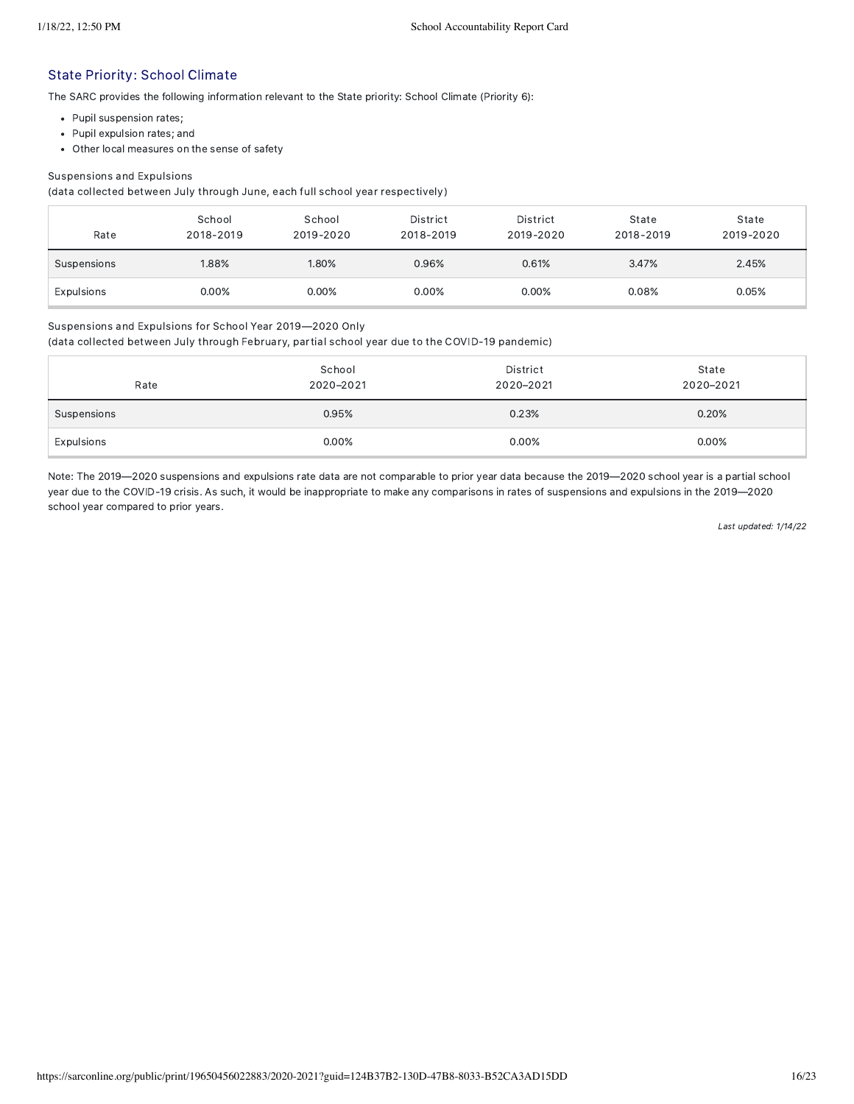#### State Priority: School Climate

The SARC provides the following information relevant to the State priority: School Climate (Priority 6):

- Pupil suspension rates;
- Pupil expulsion rates; and
- Other local measures on the sense of safety

#### Suspensions and Expulsions

(data collected between July through June, each full school year respectively)

| Rate        | School<br>2018-2019 | School<br>2019-2020 | District<br>2018-2019 | District<br>2019-2020 | State<br>2018-2019 | State<br>2019-2020 |
|-------------|---------------------|---------------------|-----------------------|-----------------------|--------------------|--------------------|
| Suspensions | 1.88%               | 1.80%               | 0.96%                 | 0.61%                 | 3.47%              | 2.45%              |
| Expulsions  | 0.00%               | 0.00%               | 0.00%                 | 0.00%                 | 0.08%              | 0.05%              |

#### Suspensions and Expulsions for School Year 2019—2020 Only

(data collected between July through February, partial school year due to the COVID-19 pandemic)

| Rate        | School<br>2020-2021 | District<br>2020-2021 | State<br>2020-2021 |
|-------------|---------------------|-----------------------|--------------------|
| Suspensions | 0.95%               | 0.23%                 | 0.20%              |
| Expulsions  | 0.00%               | 0.00%                 | 0.00%              |

Note: The 2019—2020 suspensions and expulsions rate data are not comparable to prior year data because the 2019—2020 school year is a partial school year due to the COVID-19 crisis. As such, it would be inappropriate to make any comparisons in rates of suspensions and expulsions in the 2019—2020 school year compared to prior years.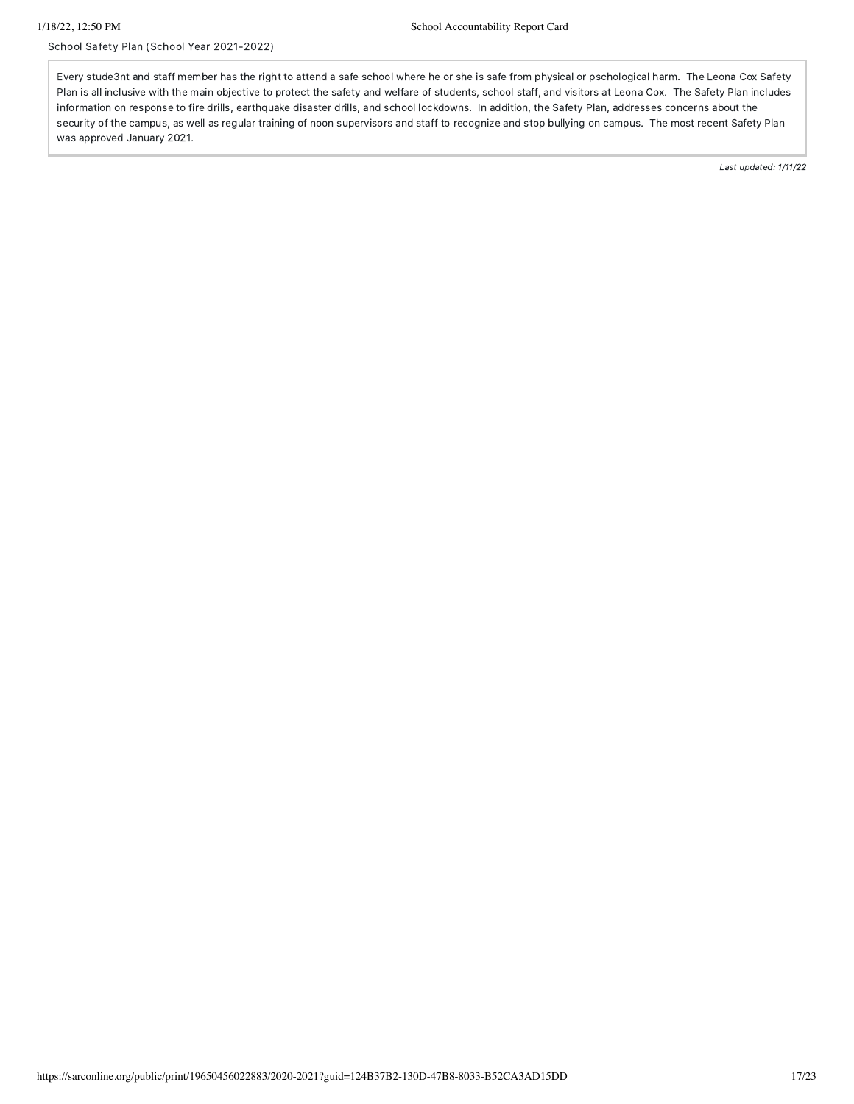School Safety Plan (School Year 2021-2022)

Every stude3nt and staff member has the right to attend a safe school where he or she is safe from physical or pschological harm. The Leona Cox Safety Plan is all inclusive with the main objective to protect the safety and welfare of students, school staff, and visitors at Leona Cox. The Safety Plan includes information on response to fire drills, earthquake disaster drills, and school lockdowns. In addition, the Safety Plan, addresses concerns about the security of the campus, as well as regular training of noon supervisors and staff to recognize and stop bullying on campus. The most recent Safety Plan was approved January 2021.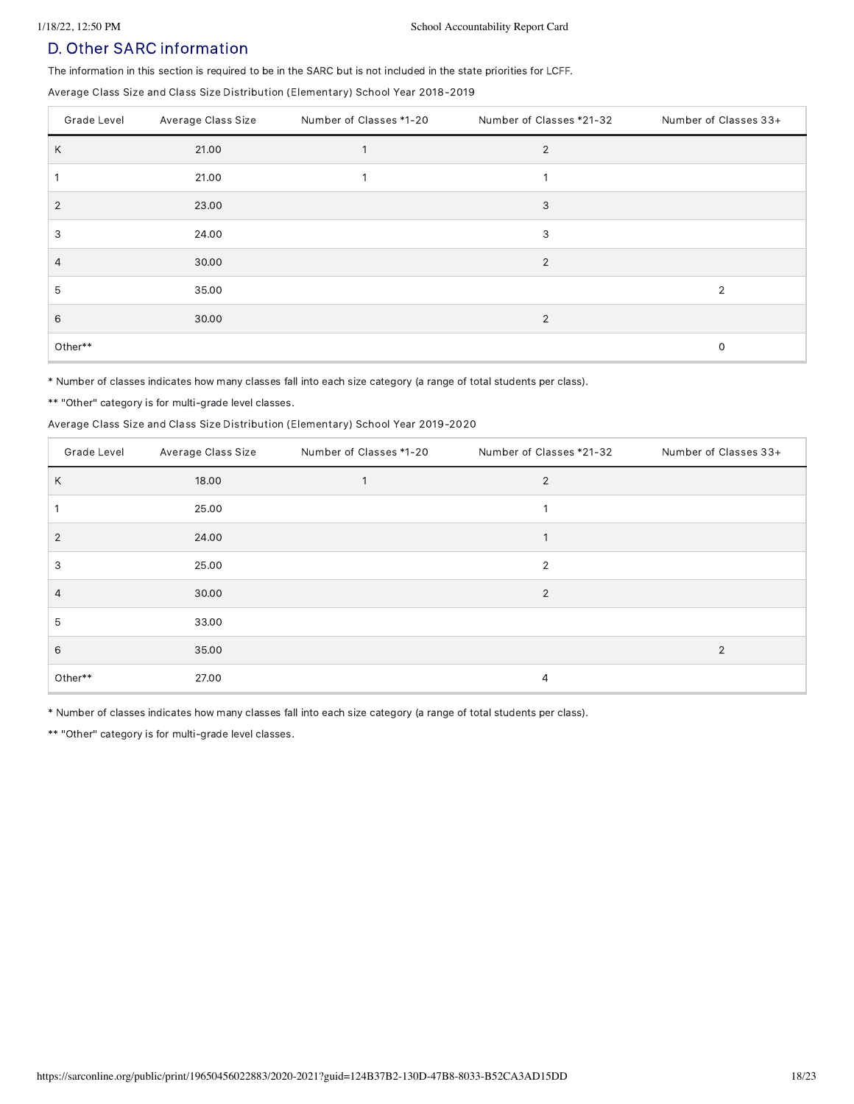## D. Other SARC information

The information in this section is required to be in the SARC but is not included in the state priorities for LCFF.

Average Class Size and Class Size Distribution (Elementary) School Year 2018-2019

| Grade Level  | Average Class Size | Number of Classes *1-20 | Number of Classes *21-32 | Number of Classes 33+ |
|--------------|--------------------|-------------------------|--------------------------|-----------------------|
| Κ            | 21.00              |                         | $\overline{2}$           |                       |
|              | 21.00              |                         |                          |                       |
| $\mathbf{2}$ | 23.00              |                         | 3                        |                       |
| 3            | 24.00              |                         | 3                        |                       |
| 4            | 30.00              |                         | $\overline{2}$           |                       |
| 5            | 35.00              |                         |                          | 2                     |
| 6            | 30.00              |                         | 2                        |                       |
| Other**      |                    |                         |                          | 0                     |

\* Number of classes indicates how many classes fall into each size category (a range of total students per class).

\*\* "Other" category is for multi-grade level classes.

#### Average Class Size and Class Size Distribution (Elementary) School Year 2019-2020

| Grade Level    | Average Class Size | Number of Classes *1-20 | Number of Classes *21-32 | Number of Classes 33+ |
|----------------|--------------------|-------------------------|--------------------------|-----------------------|
| Κ              | 18.00              |                         | $\overline{2}$           |                       |
|                | 25.00              |                         |                          |                       |
| $\overline{2}$ | 24.00              |                         |                          |                       |
| 3              | 25.00              |                         | $\overline{2}$           |                       |
| 4              | 30.00              |                         | $\overline{2}$           |                       |
| 5              | 33.00              |                         |                          |                       |
| 6              | 35.00              |                         |                          | $\overline{2}$        |
| Other**        | 27.00              |                         | 4                        |                       |

\* Number of classes indicates how many classes fall into each size category (a range of total students per class).

\*\* "Other" category is for multi-grade level classes.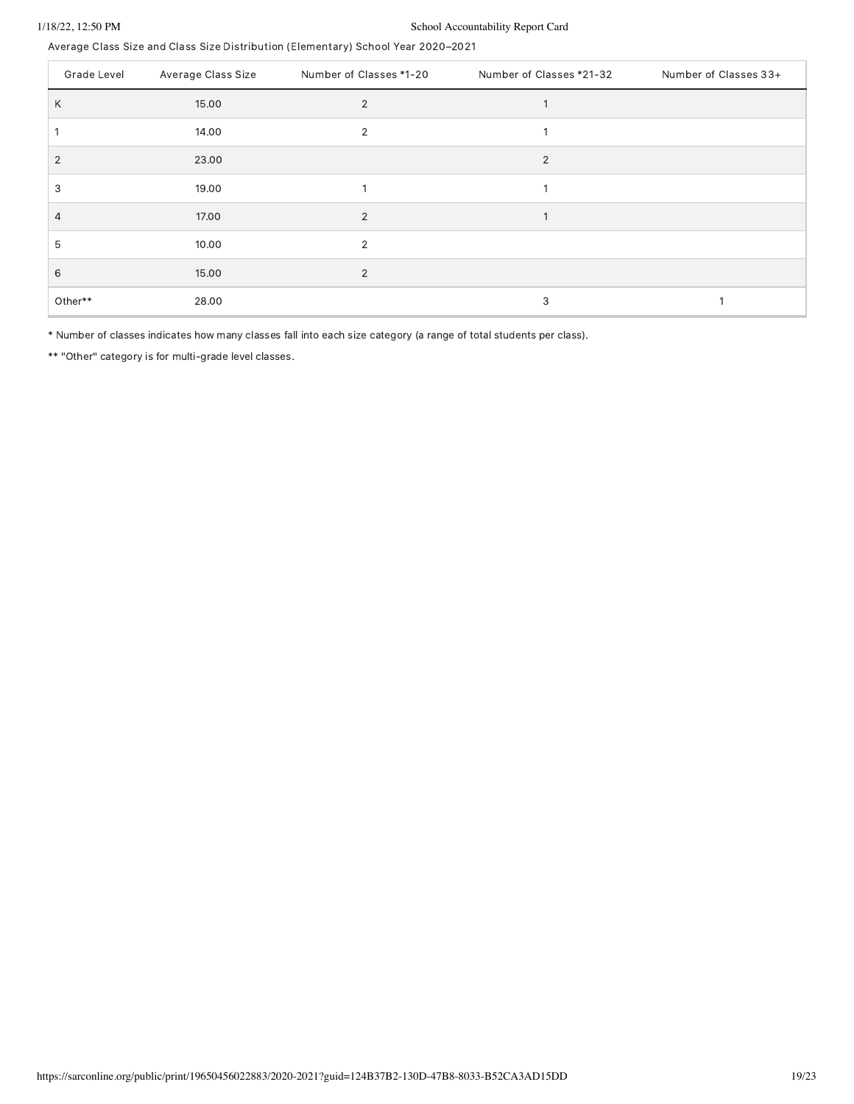### 1/18/22, 12:50 PM School Accountability Report Card

Average Class Size and Class Size Distribution (Elementary) School Year 2020–2021

| Grade Level    | Average Class Size | Number of Classes *1-20 | Number of Classes *21-32 | Number of Classes 33+ |
|----------------|--------------------|-------------------------|--------------------------|-----------------------|
| Κ              | 15.00              | $\overline{2}$          |                          |                       |
|                | 14.00              | $\overline{2}$          |                          |                       |
| $\overline{2}$ | 23.00              |                         | 2                        |                       |
| 3              | 19.00              |                         |                          |                       |
| 4              | 17.00              | 2                       |                          |                       |
| 5              | 10.00              | 2                       |                          |                       |
| 6              | 15.00              | 2                       |                          |                       |
| Other**        | 28.00              |                         | 3                        |                       |

\* Number of classes indicates how many classes fall into each size category (a range of total students per class).

\*\* "Other" category is for multi-grade level classes.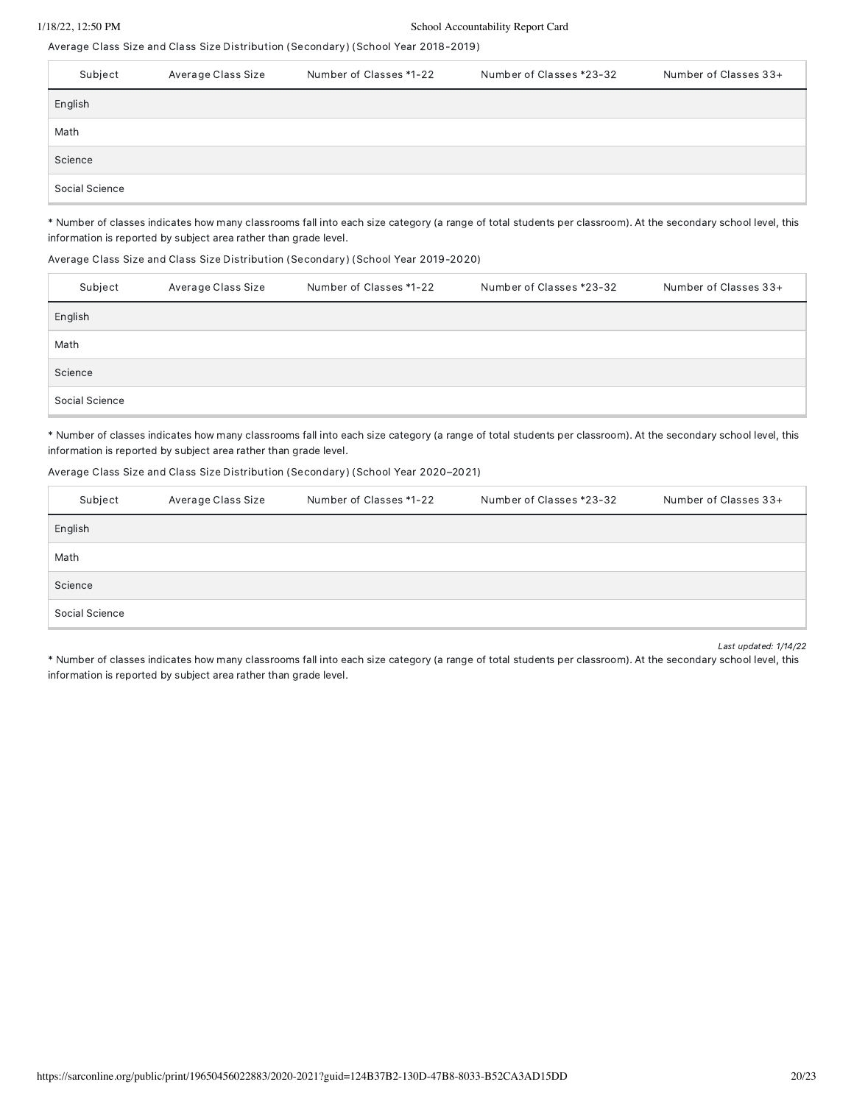### 1/18/22, 12:50 PM School Accountability Report Card

Average Class Size and Class Size Distribution (Secondary) (School Year 2018-2019)

| Subject        | Average Class Size | Number of Classes *1-22 | Number of Classes *23-32 | Number of Classes 33+ |
|----------------|--------------------|-------------------------|--------------------------|-----------------------|
| English        |                    |                         |                          |                       |
| Math           |                    |                         |                          |                       |
| Science        |                    |                         |                          |                       |
| Social Science |                    |                         |                          |                       |

\* Number of classes indicates how many classrooms fall into each size category (a range of total students per classroom). At the secondary school level, this information is reported by subject area rather than grade level.

#### Average Class Size and Class Size Distribution (Secondary) (School Year 2019-2020)

| Subject        | Average Class Size | Number of Classes *1-22 | Number of Classes *23-32 | Number of Classes 33+ |
|----------------|--------------------|-------------------------|--------------------------|-----------------------|
| English        |                    |                         |                          |                       |
| Math           |                    |                         |                          |                       |
| Science        |                    |                         |                          |                       |
| Social Science |                    |                         |                          |                       |

\* Number of classes indicates how many classrooms fall into each size category (a range of total students per classroom). At the secondary school level, this information is reported by subject area rather than grade level.

#### Average Class Size and Class Size Distribution (Secondary) (School Year 2020–2021)

| Subject        | Average Class Size | Number of Classes *1-22 | Number of Classes *23-32 | Number of Classes 33+ |
|----------------|--------------------|-------------------------|--------------------------|-----------------------|
| English        |                    |                         |                          |                       |
| Math           |                    |                         |                          |                       |
| Science        |                    |                         |                          |                       |
| Social Science |                    |                         |                          |                       |

Last updated: 1/14/22

\* Number of classes indicates how many classrooms fall into each size category (a range of total students per classroom). At the secondary school level, this information is reported by subject area rather than grade level.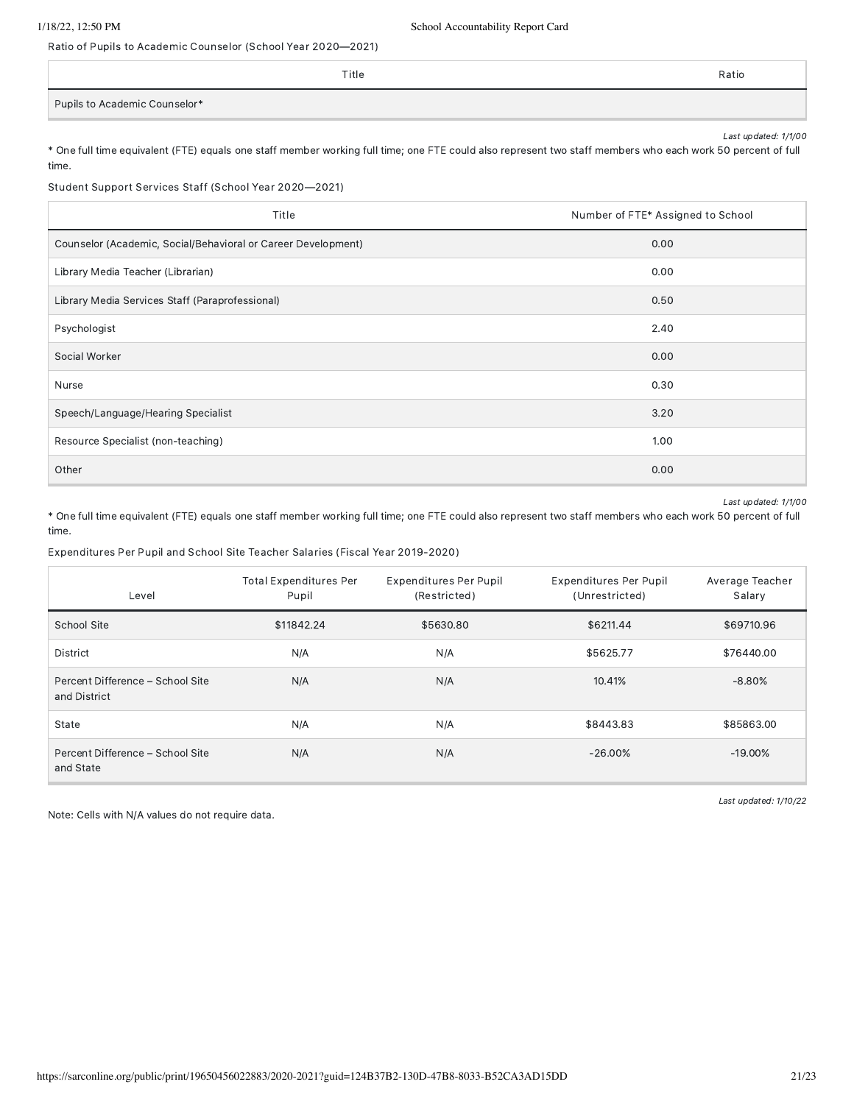Ratio of Pupils to Academic Counselor (School Year 2020—2021)

|                               | Title | Ratio |
|-------------------------------|-------|-------|
| Pupils to Academic Counselor* |       |       |

Last updated: 1/1/00 \* One full time equivalent (FTE) equals one staff member working full time; one FTE could also represent two staff members who each work 50 percent of full

time.

Student Support Services Staff (School Year 2020—2021)

| Title                                                         | Number of FTE* Assigned to School |  |
|---------------------------------------------------------------|-----------------------------------|--|
| Counselor (Academic, Social/Behavioral or Career Development) | 0.00                              |  |
| Library Media Teacher (Librarian)                             | 0.00                              |  |
| Library Media Services Staff (Paraprofessional)               | 0.50                              |  |
| Psychologist                                                  | 2.40                              |  |
| Social Worker                                                 | 0.00                              |  |
| Nurse                                                         | 0.30                              |  |
| Speech/Language/Hearing Specialist                            | 3.20                              |  |
| Resource Specialist (non-teaching)                            | 1.00                              |  |
| Other                                                         | 0.00                              |  |

Last updated: 1/1/00

\* One full time equivalent (FTE) equals one staff member working full time; one FTE could also represent two staff members who each work 50 percent of full time.

Expenditures Per Pupil and School Site Teacher Salaries (Fiscal Year 2019-2020)

| Level                                            | <b>Total Expenditures Per</b><br>Pupil | <b>Expenditures Per Pupil</b><br>(Restricted) | <b>Expenditures Per Pupil</b><br>(Unrestricted) | Average Teacher<br>Salary |
|--------------------------------------------------|----------------------------------------|-----------------------------------------------|-------------------------------------------------|---------------------------|
| School Site                                      | \$11842.24                             | \$5630.80                                     | \$6211.44                                       | \$69710.96                |
| <b>District</b>                                  | N/A                                    | N/A                                           | \$5625.77                                       | \$76440.00                |
| Percent Difference - School Site<br>and District | N/A                                    | N/A                                           | 10.41%                                          | $-8.80\%$                 |
| State                                            | N/A                                    | N/A                                           | \$8443.83                                       | \$85863.00                |
| Percent Difference - School Site<br>and State    | N/A                                    | N/A                                           | $-26.00\%$                                      | $-19.00\%$                |

Note: Cells with N/A values do not require data.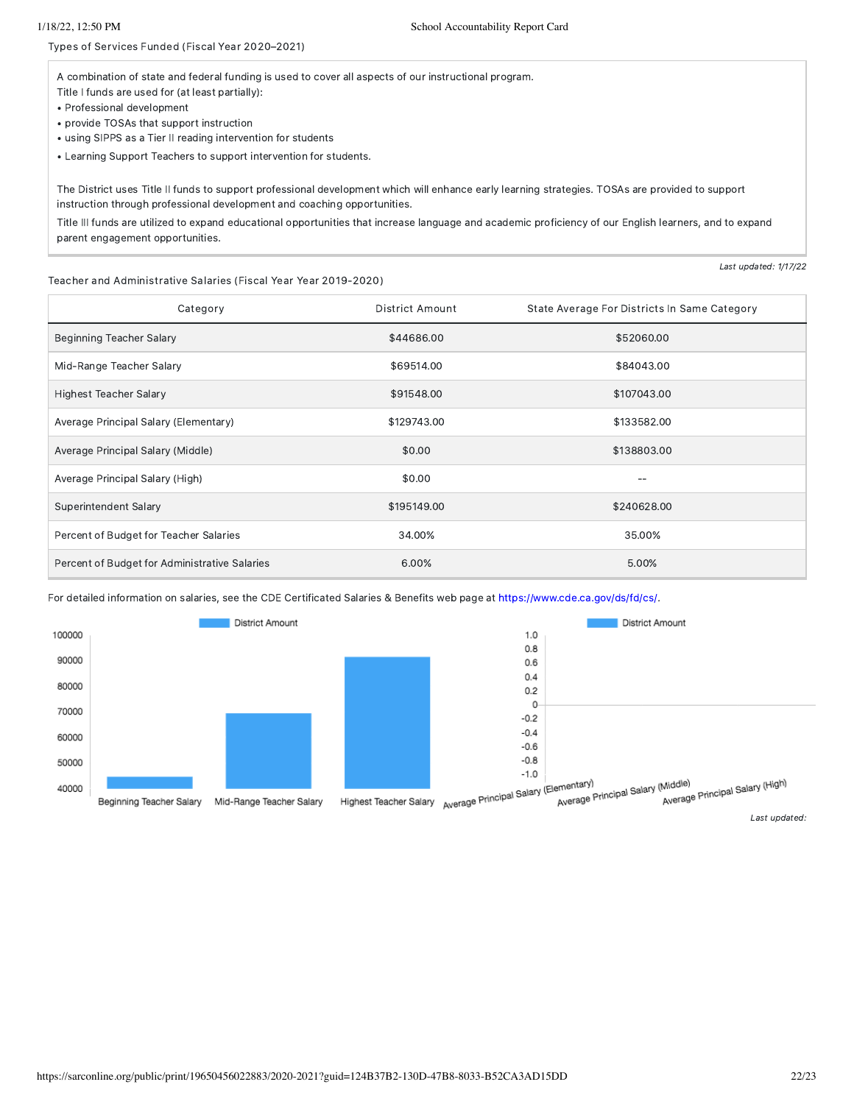Types of Services Funded (Fiscal Year 2020–2021)

A combination of state and federal funding is used to cover all aspects of our instructional program.

Title I funds are used for (at least partially):

- Professional development
- provide TOSAs that support instruction • using SIPPS as a Tier II reading intervention for students

• Learning Support Teachers to support intervention for students.

The District uses Title II funds to support professional development which will enhance early learning strategies. TOSAs are provided to support instruction through professional development and coaching opportunities.

Title III funds are utilized to expand educational opportunities that increase language and academic proficiency of our English learners, and to expand parent engagement opportunities.

Teacher and Administrative Salaries (Fiscal Year Year 2019-2020)

Category **Category District Amount** State Average For Districts In Same Category Beginning Teacher Salary **\$44686.00** \$52060.00 Mid-Range Teacher Salary **\$69514.00** \$89514.00 \$84043.00 Highest Teacher Salary **\$107043.00** \$107043.00 \$107043.00 Average Principal Salary (Elementary) **\$129743.00** \$129743.00 \$133582.00 Average Principal Salary (Middle) \$138803.00 \$138803.00 \$138803.00 \$138803.00 Average Principal Salary (High) **60.00** -- **60.00** -- \$0.00 **--** \$0.00 -- \$0.00 -- \$0.00 -- \$0.00 -- \$1.15 \$1.15 \$1.15 \$1.15 \$1.15 \$1.15 \$1.15 \$1.15 \$1.15 \$1.15 \$1.15 \$1.15 \$1.15 \$1.15 \$1.15 \$1.15 \$1.15 \$1.15 \$1.15 \$1.15 \$ Superintendent Salary \$195149.00 \$195149.00 \$240628.00 Percent of Budget for Teacher Salaries and the state of the state 34.00% 35.00% 35.00% Percent of Budget for Administrative Salaries 6.00% 5.00% 5.00% 5.00% 5.00% 5.00% 5.00% 5.00% 5.00% 5.00% 5.00%

For detailed information on salaries, see the CDE Certificated Salaries & Benefits web page at [https://www.cde.ca.gov/ds/fd/cs/.](https://www.cde.ca.gov/ds/fd/cs/)



Last updated: